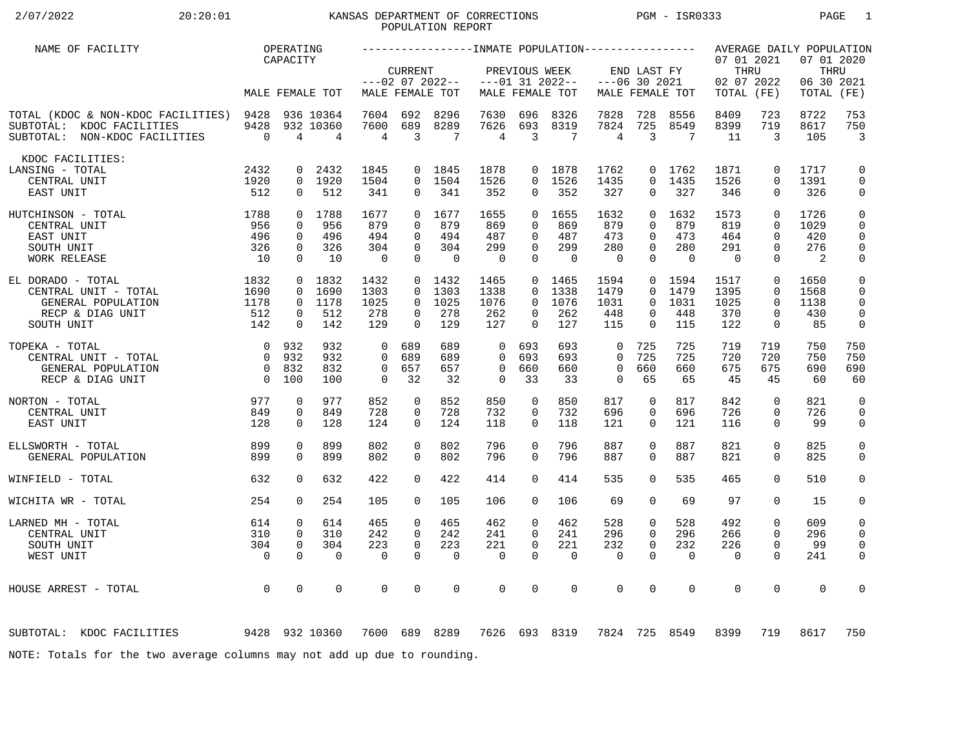# 2/07/2022 20:20:01 KANSAS DEPARTMENT OF CORRECTIONS PGM - ISR0333 PAGE 1 POPULATION REPORT

| NAME OF FACILITY                                                                                      |                        | OPERATING                     |                             |                   |                         |                                      |                   |                              |                                      |                                |                                |                   |                                                |                         | AVERAGE DAILY POPULATION                  |                              |
|-------------------------------------------------------------------------------------------------------|------------------------|-------------------------------|-----------------------------|-------------------|-------------------------|--------------------------------------|-------------------|------------------------------|--------------------------------------|--------------------------------|--------------------------------|-------------------|------------------------------------------------|-------------------------|-------------------------------------------|------------------------------|
|                                                                                                       |                        | CAPACITY                      | MALE FEMALE TOT             |                   | <b>CURRENT</b>          | $---02$ 07 2022--<br>MALE FEMALE TOT |                   | PREVIOUS WEEK                | $---01$ 31 2022--<br>MALE FEMALE TOT |                                | END LAST FY<br>$---06$ 30 2021 | MALE FEMALE TOT   | 07 01 2021<br>THRU<br>02 07 2022<br>TOTAL (FE) |                         | 07 01 2020<br>THRU<br>06 30 2021<br>TOTAL | (FE)                         |
|                                                                                                       |                        |                               |                             |                   |                         |                                      |                   |                              |                                      |                                |                                |                   |                                                |                         |                                           |                              |
| TOTAL (KDOC & NON-KDOC FACILITIES) 9428<br>SUBTOTAL: KDOC FACILITIES<br>SUBTOTAL: NON-KDOC FACILITIES | 9428<br>$\overline{0}$ | 4                             | 936 10364<br>932 10360<br>4 | 7604<br>7600<br>4 | 692<br>689<br>3         | 8296<br>8289<br>7                    | 7630<br>7626<br>4 | 696<br>693<br>$\overline{3}$ | 8326<br>8319<br>7                    | 7828<br>7824<br>$\overline{4}$ | 728<br>725<br>3                | 8556<br>8549<br>7 | 8409<br>8399<br>11                             | 723<br>719<br>3         | 8722<br>8617<br>105                       | 753<br>750<br>$\overline{3}$ |
| KDOC FACILITIES:                                                                                      |                        |                               |                             |                   |                         |                                      |                   |                              |                                      |                                |                                |                   |                                                |                         |                                           |                              |
| LANSING - TOTAL                                                                                       | 2432                   | 0                             | 2432                        | 1845              | $\overline{0}$          | 1845                                 | 1878              |                              | 0 1878                               | 1762                           | 0                              | 1762              | 1871                                           | $\mathbf 0$             | 1717                                      | 0                            |
| CENTRAL UNIT<br>EAST UNIT                                                                             | 1920<br>512            | $\mathbf 0$                   | 0 1920<br>512               | 1504<br>341       | 0                       | 0 1504<br>341                        | 1526<br>352       | $\Omega$<br>$\mathbf{0}$     | 1526<br>352                          | 1435<br>327                    | $\Omega$<br>0                  | 1435<br>327       | 1526<br>346                                    | $\Omega$<br>$\mathbf 0$ | 1391<br>326                               | $\mathbf 0$<br>0             |
| 1788<br>HUTCHINSON - TOTAL                                                                            |                        |                               | 0 1788                      | 1677              | $\Omega$                | 1677                                 | 1655              | $\Omega$                     | 1655                                 | 1632                           | $\Omega$                       | 1632              | 1573                                           | $\Omega$                | 1726                                      | $\mathsf 0$                  |
| CENTRAL UNIT                                                                                          | 956                    | $\Omega$                      | 956                         | 879               | $\Omega$                | 879                                  | 869               | $\Omega$                     | 869                                  | 879                            | $\Omega$                       | 879               | 819                                            | $\Omega$                | 1029                                      | 0                            |
| EAST UNIT<br>SOUTH UNIT                                                                               | 496<br>326             | $\Omega$<br>$\Omega$          | 496<br>326                  | 494<br>304        | $\Omega$<br>$\Omega$    | 494<br>304                           | 487<br>299        | $\Omega$<br>$\Omega$         | 487<br>299                           | 473<br>280                     | $\Omega$<br>$\Omega$           | 473<br>280        | 464<br>291                                     | $\Omega$<br>$\Omega$    | 420<br>276                                | 0<br>$\mathbf 0$             |
| WORK RELEASE                                                                                          | 10                     | $\Omega$                      | 10                          | $\overline{0}$    | $\Omega$                | $\Omega$                             | $\overline{0}$    | $\Omega$                     | $\Omega$                             | $\Omega$                       | $\Omega$                       | $\Omega$          | $\Omega$                                       | $\Omega$                | 2                                         | $\mathsf{0}$                 |
| EL DORADO - TOTAL                                                                                     | 1832                   |                               | 0 1832                      | 1432              |                         | 0, 1432                              | 1465              |                              | $0$ 1465                             | 1594                           | $\overline{0}$                 | 1594              | 1517                                           | $\mathbf 0$             | 1650                                      | $\mathbf 0$                  |
| CENTRAL UNIT - TOTAL                                                                                  | 1690                   | $\Omega$                      | 1690                        | 1303              | $\Omega$                | 1303                                 | 1338              | $\Omega$                     | 1338                                 | 1479                           | $\Omega$                       | 1479              | 1395                                           | $\Omega$                | 1568                                      | $\mathbf 0$                  |
| GENERAL POPULATION<br>RECP & DIAG UNIT                                                                | 1178<br>512            | $\overline{0}$<br>$\mathbf 0$ | 1178<br>512                 | 1025<br>278       | $\Omega$<br>$\mathbf 0$ | 1025<br>278                          | 1076<br>262       | $\Omega$<br>0                | 1076<br>262                          | 1031<br>448                    | $\Omega$<br>0                  | 1031<br>448       | 1025<br>370                                    | $\Omega$<br>$\mathbf 0$ | 1138<br>430                               | $\mathbf 0$<br>$\mathsf{O}$  |
| SOUTH UNIT                                                                                            | 142                    | $\Omega$                      | 142                         | 129               | $\Omega$                | 129                                  | 127               | $\Omega$                     | 127                                  | 115                            | $\Omega$                       | 115               | 122                                            | $\mathbf 0$             | 85                                        | $\mathbf 0$                  |
| TOPEKA - TOTAL                                                                                        | $\overline{0}$         | 932                           | 932                         | $\Omega$          | 689                     | 689                                  | $\mathbf 0$       | 693                          | 693                                  | $\mathbf 0$                    | 725                            | 725               | 719                                            | 719                     | 750                                       | 750                          |
| CENTRAL UNIT - TOTAL                                                                                  | $\overline{0}$         | 932                           | 932                         | $\Omega$          | 689                     | 689                                  | $\Omega$          | 693                          | 693                                  | $\Omega$                       | 725                            | 725               | 720                                            | 720                     | 750                                       | 750                          |
| GENERAL POPULATION                                                                                    | $\overline{0}$         | 832                           | 832                         | $\mathbf 0$       | 657                     | 657                                  | $\mathbf 0$       | 660                          | 660                                  | $\mathbf 0$                    | 660                            | 660               | 675                                            | 675                     | 690                                       | 690                          |
| RECP & DIAG UNIT                                                                                      | $\overline{0}$         | 100                           | 100                         | $\mathbf 0$       | 32                      | 32                                   | $\mathbf 0$       | 33                           | 33                                   | $\Omega$                       | 65                             | 65                | 45                                             | 45                      | 60                                        | 60                           |
| NORTON - TOTAL                                                                                        | 977                    | 0                             | 977                         | 852               | $\mathbf 0$             | 852                                  | 850               | 0                            | 850                                  | 817                            | 0                              | 817               | 842                                            | $\mathbf 0$             | 821                                       | $\mathbf 0$                  |
| CENTRAL UNIT                                                                                          | 849                    | $\mathbf 0$                   | 849                         | 728               | 0                       | 728                                  | 732               | 0                            | 732                                  | 696                            | 0                              | 696               | 726                                            | $\mathbf 0$             | 726                                       | 0                            |
| EAST UNIT                                                                                             | 128                    | $\Omega$                      | 128                         | 124               | $\Omega$                | 124                                  | 118               | $\Omega$                     | 118                                  | 121                            | $\Omega$                       | 121               | 116                                            | $\Omega$                | 99                                        | 0                            |
| ELLSWORTH - TOTAL                                                                                     | 899                    | $\Omega$                      | 899                         | 802               | $\Omega$                | 802                                  | 796               | $\Omega$                     | 796                                  | 887                            | $\Omega$                       | 887               | 821                                            | $\Omega$                | 825                                       | $\mathsf{O}$                 |
| GENERAL POPULATION                                                                                    | 899                    | $\Omega$                      | 899                         | 802               | $\Omega$                | 802                                  | 796               | $\Omega$                     | 796                                  | 887                            | $\Omega$                       | 887               | 821                                            | $\Omega$                | 825                                       | $\mathbf 0$                  |
| WINFIELD - TOTAL                                                                                      | 632                    | $\Omega$                      | 632                         | 422               | $\Omega$                | 422                                  | 414               | $\Omega$                     | 414                                  | 535                            | $\Omega$                       | 535               | 465                                            | $\Omega$                | 510                                       | $\mathbf 0$                  |
| WICHITA WR - TOTAL                                                                                    | 254                    | $\Omega$                      | 254                         | 105               | $\Omega$                | 105                                  | 106               | $\Omega$                     | 106                                  | 69                             | $\Omega$                       | 69                | 97                                             | $\Omega$                | 15                                        | 0                            |
| LARNED MH - TOTAL                                                                                     | 614                    | $\mathbf 0$                   | 614                         | 465               | $\Omega$                | 465                                  | 462               | $\mathbf 0$                  | 462                                  | 528                            | 0                              | 528               | 492                                            | $\mathbf 0$             | 609                                       | 0                            |
| CENTRAL UNIT                                                                                          | 310                    | $\mathbf 0$                   | 310                         | 242               | $\Omega$                | 242                                  | 241               | $\Omega$                     | 241                                  | 296                            | $\Omega$                       | 296               | 266                                            | $\Omega$                | 296                                       | 0                            |
| SOUTH UNIT                                                                                            | 304                    | $\mathbf 0$                   | 304                         | 223               | $\mathbf 0$             | 223                                  | 221               | $\mathbf 0$                  | 221                                  | 232                            | 0                              | 232               | 226                                            | $\mathbf 0$             | 99                                        | $\mathbf 0$                  |
| WEST UNIT                                                                                             | $\overline{0}$         | $\Omega$                      | $\Omega$                    | $\Omega$          | $\Omega$                | $\mathbf 0$                          | $\mathbf 0$       | $\Omega$                     | $\mathbf 0$                          | $\mathbf 0$                    | $\Omega$                       | $\mathbf 0$       | $\mathbf 0$                                    | $\Omega$                | 241                                       | 0                            |
| HOUSE ARREST - TOTAL                                                                                  | $\overline{0}$         | $\mathbf 0$                   | 0                           | 0                 | 0                       | $\mathbf 0$                          | $\mathbf 0$       | $\mathbf 0$                  | $\mathbf 0$                          | $\mathbf 0$                    | 0                              | $\mathbf 0$       | $\mathbf 0$                                    | $\mathbf 0$             | $\mathbf 0$                               | 0                            |
| 9428 932 10360<br>SUBTOTAL: KDOC FACILITIES                                                           |                        |                               |                             |                   |                         | 7600 689 8289                        |                   |                              | 7626 693 8319                        | 7824                           |                                | 725 8549          | 8399                                           | 719                     | 8617                                      | 750                          |
|                                                                                                       |                        |                               |                             |                   |                         |                                      |                   |                              |                                      |                                |                                |                   |                                                |                         |                                           |                              |
| NOTE: Totals for the two average columns may not add up due to rounding.                              |                        |                               |                             |                   |                         |                                      |                   |                              |                                      |                                |                                |                   |                                                |                         |                                           |                              |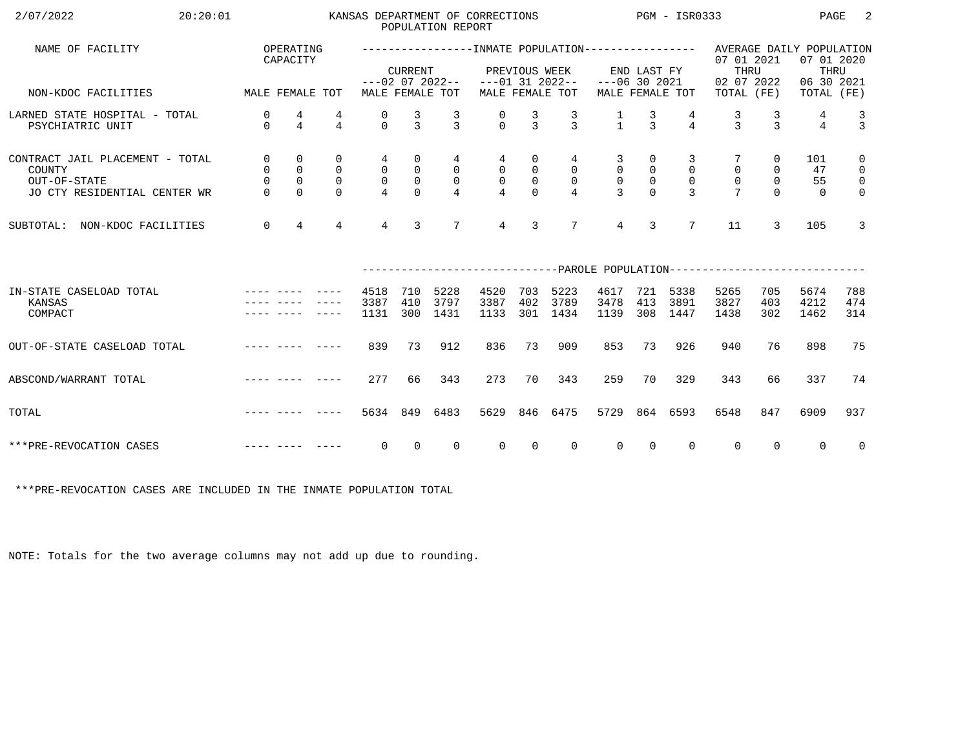| 2/07/2022<br>20:20:01                                                                     |                                               |                                              |                                             |                                                   |                                                          | POPULATION REPORT                   | KANSAS DEPARTMENT OF CORRECTIONS   |                                               |                                                      | PGM - ISR0333                                           |                                                |                                                 |                                                                                       |                                              | PAGE                                                         | 2                                                                        |
|-------------------------------------------------------------------------------------------|-----------------------------------------------|----------------------------------------------|---------------------------------------------|---------------------------------------------------|----------------------------------------------------------|-------------------------------------|------------------------------------|-----------------------------------------------|------------------------------------------------------|---------------------------------------------------------|------------------------------------------------|-------------------------------------------------|---------------------------------------------------------------------------------------|----------------------------------------------|--------------------------------------------------------------|--------------------------------------------------------------------------|
| NAME OF FACILITY                                                                          |                                               | OPERATING<br>CAPACITY                        |                                             |                                                   | <b>CURRENT</b>                                           | $---02$ 07 2022--                   |                                    | PREVIOUS WEEK                                 | $---01$ 31 2022--                                    | $---06$ 30 2021                                         | END LAST FY                                    |                                                 | 07 01 2021<br>THRU<br>02 07 2022                                                      |                                              | AVERAGE DAILY POPULATION<br>07 01 2020<br>THRU<br>06 30 2021 |                                                                          |
| NON-KDOC FACILITIES                                                                       | MALE FEMALE TOT                               |                                              |                                             |                                                   |                                                          | MALE FEMALE TOT                     |                                    |                                               | MALE FEMALE TOT                                      |                                                         |                                                | MALE FEMALE TOT                                 | TOTAL (FE)                                                                            |                                              | TOTAL (FE)                                                   |                                                                          |
| LARNED STATE HOSPITAL - TOTAL<br>PSYCHIATRIC UNIT                                         | $\mathbf 0$<br>$\Omega$                       | 4<br>$\overline{4}$                          | 4<br>$\overline{4}$                         | 0<br>$\Omega$                                     | $\frac{3}{3}$                                            | $\mathcal{L}$                       | $\Omega$                           | 3<br>$\mathcal{E}$                            | $\frac{3}{3}$                                        | $\frac{1}{1}$                                           | $\frac{3}{3}$                                  | $\overline{4}$                                  | 3<br>$\mathbf{z}$                                                                     | 3<br>$\mathbf{z}$                            | 4<br>$\overline{4}$                                          | $\frac{3}{3}$                                                            |
| CONTRACT JAIL PLACEMENT - TOTAL<br>COUNTY<br>OUT-OF-STATE<br>JO CTY RESIDENTIAL CENTER WR | $\mathsf{O}$<br>0<br>$\mathsf{O}$<br>$\Omega$ | 0<br>$\mathsf{O}$<br>$\mathbf 0$<br>$\Omega$ | 0<br>$\mathbf 0$<br>$\mathbf 0$<br>$\Omega$ | 4<br>$\mathbf 0$<br>$\mathbf 0$<br>$\overline{4}$ | $\mathsf{O}$<br>$\mathsf{O}$<br>$\mathsf{O}$<br>$\Omega$ | 4<br>$\mathsf{O}$<br>$\overline{0}$ | 4<br>$\overline{0}$<br>$\mathsf 0$ | 0<br>$\mathsf{O}$<br>$\mathsf{O}$<br>$\Omega$ | 4<br>$\overline{0}$<br>$\mathbf 0$<br>$\overline{4}$ | 3<br>$\mathbf 0$<br>$\mathsf{O}\xspace$<br>$\mathbf{3}$ | 0<br>$\overline{0}$<br>$\mathbb O$<br>$\Omega$ | 3<br>$\mathbf 0$<br>$\mathbf 0$<br>$\mathbf{3}$ | $\mathbf 0$<br>$\mathbf 0$                                                            | 0<br>$\mathbf 0$<br>$\mathsf{O}$<br>$\Omega$ | 101<br>47<br>55<br>$\Omega$                                  | $\mathbf 0$<br>$\mathsf{O}$<br>$\overline{\mathbf{0}}$<br>$\overline{0}$ |
| NON-KDOC FACILITIES<br>SUBTOTAL:                                                          | $\mathbf 0$                                   | $\overline{4}$                               | $\overline{4}$                              | $4\overline{ }$                                   | $\mathbf{3}$                                             | $7\overline{ }$                     | $\overline{4}$                     | 3                                             | $7\phantom{.0}$                                      | $\overline{4}$                                          | 3                                              | $7\overline{ }$                                 | 11                                                                                    | 3                                            | 105                                                          | 3                                                                        |
|                                                                                           |                                               |                                              |                                             |                                                   |                                                          |                                     |                                    |                                               |                                                      |                                                         |                                                |                                                 | --------------------------PAROLE                    POPULATION----------------------- |                                              |                                                              |                                                                          |
| IN-STATE CASELOAD TOTAL<br>KANSAS<br>COMPACT                                              |                                               |                                              |                                             | 4518<br>3387<br>1131                              | 710<br>410<br>300                                        | 5228<br>3797<br>1431                | 4520<br>3387<br>1133               | 703<br>402<br>301                             | 5223<br>3789<br>1434                                 | 4617<br>3478<br>1139                                    | 721<br>413<br>308                              | 5338<br>3891<br>1447                            | 5265<br>3827<br>1438                                                                  | 705<br>403<br>302                            | 5674<br>4212<br>1462                                         | 788<br>474<br>314                                                        |
| OUT-OF-STATE CASELOAD TOTAL                                                               |                                               |                                              | -----                                       | 839                                               | 73                                                       | 912                                 | 836                                | 73                                            | 909                                                  | 853                                                     | 73                                             | 926                                             | 940                                                                                   | 76                                           | 898                                                          | 75                                                                       |
| ABSCOND/WARRANT TOTAL                                                                     |                                               |                                              |                                             | 277                                               | 66                                                       | 343                                 | 273                                | 70                                            | 343                                                  | 259                                                     | 70                                             | 329                                             | 343                                                                                   | 66                                           | 337                                                          | 74                                                                       |
| TOTAL                                                                                     |                                               |                                              |                                             | 5634 849                                          |                                                          | 6483                                | 5629                               | 846                                           | 6475                                                 | 5729                                                    |                                                | 864 6593                                        | 6548                                                                                  | 847                                          | 6909                                                         | 937                                                                      |
| ***PRE-REVOCATION CASES                                                                   |                                               |                                              |                                             | 0                                                 | $\Omega$                                                 | $\Omega$                            | $\Omega$                           | $\Omega$                                      | $\Omega$                                             | $\Omega$                                                | $\Omega$                                       | $\Omega$                                        | $\mathbf 0$                                                                           | $\Omega$                                     | $\Omega$                                                     | $\overline{0}$                                                           |

\*\*\*PRE-REVOCATION CASES ARE INCLUDED IN THE INMATE POPULATION TOTAL

NOTE: Totals for the two average columns may not add up due to rounding.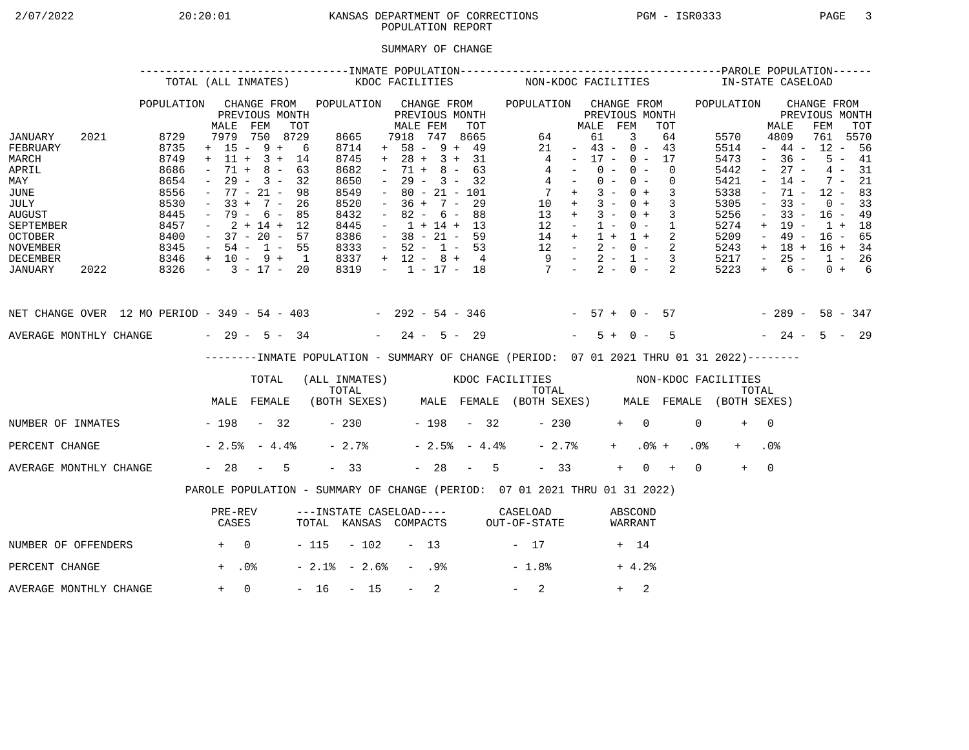## 2/07/2022 20:20:01 KANSAS DEPARTMENT OF CORRECTIONS PGM - ISR0333 PAGE 3POPULATION REPORT

## SUMMARY OF CHANGE

|                                                                                                                                        |      |                                                                                      | TOTAL (ALL INMATES)                                                                                                                                         |                                                 |     |                                                                                             | KDOC FACILITIES     |                                                                                                                                                                          |                  |                                                                    |     |                | NON-KDOC FACILITIES                                                                                                                            |                                                                                                 |                                  |                |            |                          |                            |                 | IN-STATE CASELOAD                                                                    |                                                                                                       |                                                                                                       |                                                                                       |                                              |  |
|----------------------------------------------------------------------------------------------------------------------------------------|------|--------------------------------------------------------------------------------------|-------------------------------------------------------------------------------------------------------------------------------------------------------------|-------------------------------------------------|-----|---------------------------------------------------------------------------------------------|---------------------|--------------------------------------------------------------------------------------------------------------------------------------------------------------------------|------------------|--------------------------------------------------------------------|-----|----------------|------------------------------------------------------------------------------------------------------------------------------------------------|-------------------------------------------------------------------------------------------------|----------------------------------|----------------|------------|--------------------------|----------------------------|-----------------|--------------------------------------------------------------------------------------|-------------------------------------------------------------------------------------------------------|-------------------------------------------------------------------------------------------------------|---------------------------------------------------------------------------------------|----------------------------------------------|--|
|                                                                                                                                        |      | POPULATION                                                                           | MALE                                                                                                                                                        | CHANGE FROM<br>PREVIOUS MONTH<br>FEM            | TOT | POPULATION CHANGE FROM                                                                      |                     | MALE FEM                                                                                                                                                                 |                  | PREVIOUS MONTH                                                     | TOT |                | POPULATION CHANGE FROM                                                                                                                         |                                                                                                 | MALE FEM                         | PREVIOUS MONTH |            |                          | TOT                        |                 | POPULATION                                                                           |                                                                                                       | MALE                                                                                                  | CHANGE FROM<br>PREVIOUS MONTH<br>FEM                                                  | TOT                                          |  |
| JANUARY<br>FEBRUARY<br>MARCH<br>APRIL<br>MAY<br>JUNE<br>JULY<br><b>AUGUST</b><br>SEPTEMBER<br><b>OCTOBER</b><br>NOVEMBER               | 2021 | 8729<br>8735<br>8749<br>8686<br>8654<br>8556<br>8530<br>8445<br>8457<br>8400<br>8345 | $+ 15 - 9 + 6$<br>$+ 11 + 3 + 14$<br>$\sim$<br>$ \,$<br>$-77 - 21 -$<br>$-33 + 7 - 26$<br>$-79 - 6 - 85$<br>$-2+14+12$<br>$-37 - 20 - 57$<br>$-54 - 1 - 55$ | 7979 750 8729<br>$71 + 8 - 63$<br>$29 - 3 - 32$ | 98  | 8665<br>8714<br>8745<br>8682<br>8650<br>8549<br>8520<br>8432<br>8445<br>8386<br>8333        |                     | 7918 747 8665<br>$+ 58 - 9 + 49$<br>$+ 28 + 3 + 31$<br>$\sim$<br>$\sim$ $-$<br>$\sim$<br>$-36 + 7 - 29$<br>$\sim$<br>$-1 + 14 + 13$<br>$-38 - 21 - 59$<br>$-52 - 1 - 53$ |                  | $71 + 8 - 63$<br>$29 - 3 - 32$<br>$80 - 21 - 101$<br>$82 - 6 - 88$ |     |                | $\overline{4}$<br>$\begin{array}{ccccccccc} 14 & + & 1 & + & 1 & + & 2 \\ 12 & - & 2 & - & 0 & - & 2 \\ 9 & - & 2 & - & 1 & - & 3 \end{array}$ | 64<br>21<br>$4 -$<br>$4 -$<br>$7 +$<br>$10 + 3 - 0 + 3$<br>$13 + 3 - 0 + 3$<br>$12 - 1 - 0 - 1$ | $-43 - 0 - 43$<br>$-17 - 0 - 17$ | 61<br>$0 -$    | 3<br>$0 -$ | $0 - 0 -$<br>$3 - 0 + 3$ | 64<br>$\Omega$<br>$\Omega$ |                 | 5570<br>5514<br>5473<br>5442<br>5421<br>5338<br>5305<br>5256<br>5274<br>5209<br>5243 | $\sim$<br>$\sim$<br>$\overline{\phantom{a}}$<br>$\equiv$<br>$\overline{\phantom{a}}$<br>$+$<br>$\sim$ | 4809<br>$-44-$<br>$-36 -$<br>$27 -$<br>$14 -$<br>71 -<br>$33 -$<br>$33 -$<br>19 -<br>49 -<br>$+ 18 +$ | 761 5570<br>$12 - 56$<br>$12 - 83$<br>$16 - 49$<br>$1 + 18$<br>$16 - 65$<br>$16 + 34$ | $5 - 41$<br>$4 - 31$<br>$7 - 21$<br>$0 - 33$ |  |
| DECEMBER<br>JANUARY                                                                                                                    | 2022 | $8346 + 10 - 9 + 1$<br>$8326 - 3 - 17 - 20$                                          |                                                                                                                                                             |                                                 |     | 8337<br>8319                                                                                |                     | $+ 12 - 8 + 4$                                                                                                                                                           |                  |                                                                    |     |                | $-1$ $-17$ $-18$ $7$ $-2$ $-0$ $-2$                                                                                                            |                                                                                                 |                                  |                |            |                          |                            |                 | 5217<br>5223                                                                         | $\sim$ $-$<br>$+$                                                                                     | $25 -$<br>$6 -$                                                                                       | $1 - 26$                                                                              | $0 + 6$                                      |  |
| NET CHANGE OVER 12 MO PERIOD - 349 - 54 - 403 - 292 - 54 - 346 - 57 + 0 - 57 - 289 - 58 - 347<br>AVERAGE MONTHLY CHANGE $-29 - 5 - 34$ |      |                                                                                      |                                                                                                                                                             |                                                 |     |                                                                                             |                     | $-24 - 5 - 29$                                                                                                                                                           |                  |                                                                    |     |                |                                                                                                                                                |                                                                                                 |                                  | $5 + 0 -$      |            |                          | $5^{\circ}$                |                 | $-24 - 5 - 29$                                                                       |                                                                                                       |                                                                                                       |                                                                                       |                                              |  |
|                                                                                                                                        |      |                                                                                      |                                                                                                                                                             |                                                 |     | --------INMATE POPULATION - SUMMARY OF CHANGE (PERIOD: 07 01 2021 THRU 01 31 2022)--------  |                     |                                                                                                                                                                          |                  |                                                                    |     |                |                                                                                                                                                |                                                                                                 |                                  |                |            |                          |                            |                 |                                                                                      |                                                                                                       |                                                                                                       |                                                                                       |                                              |  |
|                                                                                                                                        |      |                                                                                      |                                                                                                                                                             | TOTAL                                           |     | (ALL INMATES) WOOC FACILITIES NON-KDOC FACILITIES                                           |                     |                                                                                                                                                                          |                  |                                                                    |     |                |                                                                                                                                                |                                                                                                 |                                  |                |            |                          |                            |                 |                                                                                      |                                                                                                       |                                                                                                       |                                                                                       |                                              |  |
|                                                                                                                                        |      |                                                                                      | MALE FEMALE                                                                                                                                                 |                                                 |     | TOTAL TOTAL TOTAL TOTAL TOTAL TOTAL TOTAL TOTAL TOTAL (BOTH SEXES) MALE FEMALE (BOTH SEXES) |                     |                                                                                                                                                                          |                  |                                                                    |     |                |                                                                                                                                                |                                                                                                 |                                  |                |            |                          |                            |                 |                                                                                      |                                                                                                       |                                                                                                       |                                                                                       |                                              |  |
| NUMBER OF INMATES - 198 - 32                                                                                                           |      |                                                                                      |                                                                                                                                                             |                                                 |     |                                                                                             | $-230$ $-198$ $-32$ |                                                                                                                                                                          |                  |                                                                    |     |                |                                                                                                                                                | $-230$                                                                                          |                                  |                | $+ 0$      |                          |                            | $\Omega$        | $+$                                                                                  | $\bigcap$                                                                                             |                                                                                                       |                                                                                       |                                              |  |
| PERCENT CHANGE                                                                                                                         |      |                                                                                      | $-2.5$ $-4.4$ $-$                                                                                                                                           |                                                 |     | $-2.7%$                                                                                     |                     |                                                                                                                                                                          |                  |                                                                    |     | $-2.5% - 4.4%$ |                                                                                                                                                | $-2.7%$                                                                                         |                                  |                | $+$ $-$    | $.0%$ +                  |                            | .0 <sub>8</sub> |                                                                                      | .0 <sub>8</sub>                                                                                       |                                                                                                       |                                                                                       |                                              |  |
| AVERAGE MONTHLY CHANGE                                                                                                                 |      |                                                                                      | $-28 - 5$                                                                                                                                                   |                                                 |     | $-33$                                                                                       |                     |                                                                                                                                                                          |                  |                                                                    |     | $-28 - 5$      |                                                                                                                                                | $-33$                                                                                           |                                  |                | $+$        | $0 +$                    |                            | $\Omega$        | $+$                                                                                  | $\overline{0}$                                                                                        |                                                                                                       |                                                                                       |                                              |  |
|                                                                                                                                        |      |                                                                                      | PAROLE POPULATION - SUMMARY OF CHANGE (PERIOD: 07 01 2021 THRU 01 31 2022)                                                                                  |                                                 |     |                                                                                             |                     |                                                                                                                                                                          |                  |                                                                    |     |                |                                                                                                                                                |                                                                                                 |                                  |                |            |                          |                            |                 |                                                                                      |                                                                                                       |                                                                                                       |                                                                                       |                                              |  |
|                                                                                                                                        |      |                                                                                      | PRE-REV<br>CASES                                                                                                                                            |                                                 |     | ---INSTATE CASELOAD---- CASELOAD<br>TOTAL KANSAS COMPACTS OUT-OF-STATE                      |                     |                                                                                                                                                                          |                  |                                                                    |     |                |                                                                                                                                                |                                                                                                 |                                  |                |            | ABSCOND<br>WARRANT       |                            |                 |                                                                                      |                                                                                                       |                                                                                                       |                                                                                       |                                              |  |
| NUMBER OF OFFENDERS                                                                                                                    |      | $+$ 0                                                                                |                                                                                                                                                             |                                                 |     | $-115 - 102 - 13$                                                                           |                     |                                                                                                                                                                          |                  |                                                                    |     |                | $-17$                                                                                                                                          |                                                                                                 |                                  |                | + 14       |                          |                            |                 |                                                                                      |                                                                                                       |                                                                                                       |                                                                                       |                                              |  |
| PERCENT CHANGE                                                                                                                         |      |                                                                                      | $+$ .0%                                                                                                                                                     |                                                 |     | $-2.1$ % $-2.6$ %                                                                           |                     |                                                                                                                                                                          | - .98            |                                                                    |     |                | $-1.8%$                                                                                                                                        |                                                                                                 |                                  |                |            | $+4.2%$                  |                            |                 |                                                                                      |                                                                                                       |                                                                                                       |                                                                                       |                                              |  |
| AVERAGE MONTHLY CHANGE                                                                                                                 |      |                                                                                      | $+ 0$                                                                                                                                                       |                                                 |     | $-16 - 15$                                                                                  |                     |                                                                                                                                                                          | $\sim$ 100 $\mu$ | 2                                                                  |     |                | $-2$                                                                                                                                           |                                                                                                 |                                  |                | $+$        | 2                        |                            |                 |                                                                                      |                                                                                                       |                                                                                                       |                                                                                       |                                              |  |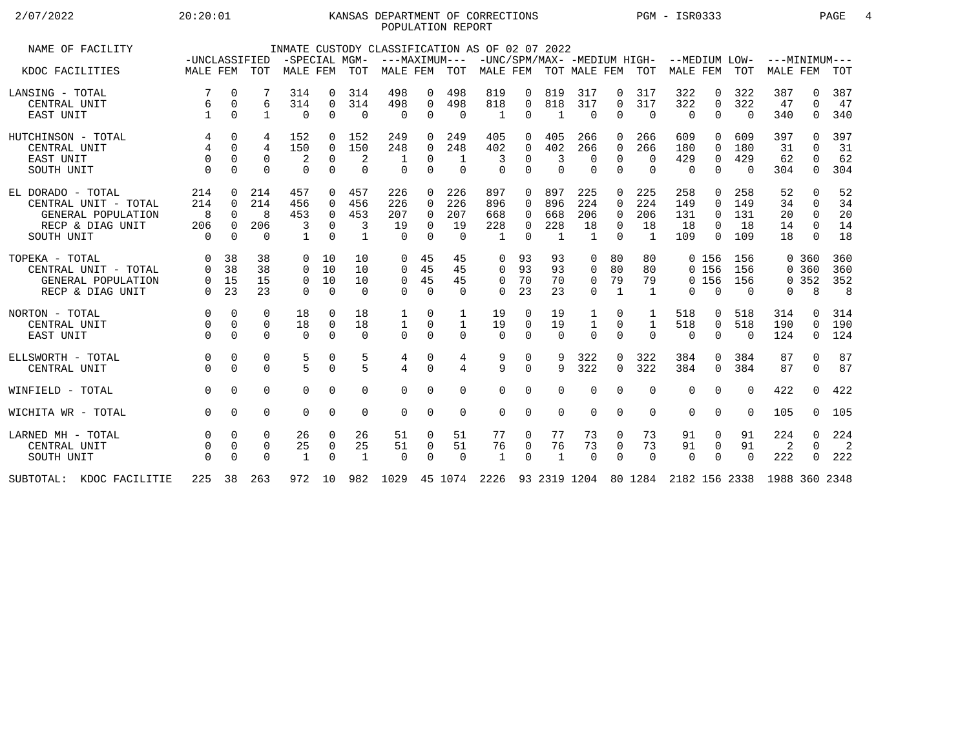# $2/07/2022$  20:20:01 KANSAS DEPARTMENT OF CORRECTIONS PGM - ISR0333 PAGE 4 POPULATION REPORT

| NAME OF FACILITY         |                               |             |                | INMATE CUSTODY CLASSIFICATION AS OF 02 07 2022 |             |                |                                                                        |             |              |              |          |                |                |                |                |                                                                                                   |             |          |                 |              |     |
|--------------------------|-------------------------------|-------------|----------------|------------------------------------------------|-------------|----------------|------------------------------------------------------------------------|-------------|--------------|--------------|----------|----------------|----------------|----------------|----------------|---------------------------------------------------------------------------------------------------|-------------|----------|-----------------|--------------|-----|
| KDOC FACILITIES          | -UNCLASSIFIED<br>MALE FEM TOT |             |                | -SPECIAL MGM-<br>MALE FEM TOT                  |             |                | ---MAXIMUM---<br>MALE FEM                                              |             | TOT          |              |          |                |                |                |                | -UNC/SPM/MAX- -MEDIUM HIGH- --MEDIUM LOW- ---MINIMUM---<br>MALE FEM TOT MALE FEM TOT MALE FEM TOT |             |          | <b>MALE FEM</b> |              | TOT |
|                          |                               |             |                |                                                |             |                |                                                                        |             |              |              |          |                |                |                |                |                                                                                                   |             |          |                 |              |     |
| LANSING - TOTAL          |                               | $\mathbf 0$ |                | 314                                            | $\Omega$    | 314            | 498                                                                    | 0           | 498          | 819          | 0        | 819            | 317            | 0              | 317            | 322                                                                                               | 0           | 322      | 387             | 0            | 387 |
| CENTRAL UNIT             | 6                             | $\mathbf 0$ | 6              | 314                                            | $\mathbf 0$ | 314            | 498                                                                    | $\mathbf 0$ | 498          | 818          | 0        | 818            | 317            | $\Omega$       | 317            | 322                                                                                               | $\mathbf 0$ | 322      | 47              | $\Omega$     | 47  |
| EAST UNIT                |                               | $\Omega$    | $\mathbf{1}$   | $\Omega$                                       | $\Omega$    | $\Omega$       | $\Omega$                                                               | $\Omega$    | $\Omega$     | 1            | 0        | 1              | $\Omega$       | $\Omega$       | $\overline{0}$ | $\Omega$                                                                                          | $\Omega$    | $\Omega$ | 340             | $\Omega$     | 340 |
| HUTCHINSON - TOTAL       | 4                             | $\Omega$    | 4              | 152                                            | $\Omega$    | 152            | 249                                                                    | $\Omega$    | 249          | 405          | 0        | 405            | 266            | $\Omega$       | 266            | 609                                                                                               | $\Omega$    | 609      | 397             | <sup>0</sup> | 397 |
| CENTRAL UNIT             | $\overline{4}$                | $\Omega$    | $\overline{4}$ | 150                                            | $\Omega$    | 150            | 248                                                                    | $\Omega$    | 248          | 402          | 0        | 402            | 266            | $\Omega$       | 266            | 180                                                                                               | $\Omega$    | 180      | 31              | $\Omega$     | 31  |
| EAST UNIT                | $\Omega$                      | $\Omega$    | $\Omega$       | 2                                              | $\Omega$    | 2              |                                                                        | $\Omega$    | 1            | 3            | 0        | 3              | $\Omega$       | $\Omega$       | $\Omega$       | 429                                                                                               | $\mathbf 0$ | 429      | 62              | $\Omega$     | 62  |
| SOUTH UNIT               | $\Omega$                      | $\Omega$    | $\Omega$       | $\Omega$                                       | $\Omega$    | $\Omega$       | $\Omega$                                                               | $\mathbf 0$ | $\mathbf 0$  | $\Omega$     | $\Omega$ | $\Omega$       | $\mathbf 0$    | $\overline{0}$ | $\mathbf 0$    | $\Omega$                                                                                          | $\mathbf 0$ | $\Omega$ | 304             | $\mathbf 0$  | 304 |
| EL DORADO - TOTAL        | 214                           | $\Omega$    | 214            | 457                                            | $\Omega$    | 457            | 226                                                                    | $\Omega$    | 226          | 897          | $\Omega$ | 897            | 225            | $\Omega$       | 225            | 258                                                                                               | $\Omega$    | 258      | 52              | $\Omega$     | 52  |
| CENTRAL UNIT - TOTAL     | 214                           | $\Omega$    | 214            | 456                                            | $\Omega$    | 456            | 226                                                                    | $\Omega$    | 226          | 896          | 0        | 896            | 224            | $\Omega$       | 224            | 149                                                                                               | $\Omega$    | 149      | 34              | $\Omega$     | 34  |
| GENERAL POPULATION       | 8                             | $\Omega$    | 8              | 453                                            | $\Omega$    | 453            | 207                                                                    | $\Omega$    | 207          | 668          | 0        | 668            | 206            | $\Omega$       | 206            | 131                                                                                               | $\Omega$    | 131      | 20              | $\Omega$     | 20  |
| RECP & DIAG UNIT         | 206                           | $\Omega$    | 206            | 3                                              | $\Omega$    | 3              | 19                                                                     | $\Omega$    | 19           | 228          | 0        | 228            | 18             | $\Omega$       | 18             | 18                                                                                                | $\Omega$    | 18       | 14              | $\Omega$     | 14  |
| SOUTH UNIT               | $\Omega$                      | $\Omega$    | $\Omega$       | $\mathbf{1}$                                   | $\Omega$    | $\mathbf{1}$   | $\cap$                                                                 | $\Omega$    | $\Omega$     | $\mathbf{1}$ | $\Omega$ | $\overline{1}$ | $\overline{1}$ | $\Omega$       | $\overline{1}$ | 109                                                                                               | $\Omega$    | 109      | 18              | $\Omega$     | 18  |
|                          |                               |             |                |                                                |             |                |                                                                        |             |              |              |          |                |                |                |                |                                                                                                   |             |          |                 |              |     |
| TOPEKA - TOTAL           | $\Omega$                      | 38          | 38             | $\Omega$                                       | 10          | 10             | $\Omega$                                                               | 45          | 45           | 0            | 93       | 93             | 0              | 80             | 80             |                                                                                                   | 0 156       | 156      |                 | 0, 360       | 360 |
| CENTRAL UNIT - TOTAL     | $\Omega$                      | 38          | 38             | $\Omega$                                       | 10          | 10             | $\Omega$                                                               | 45          | 45           | $\Omega$     | 93       | 93             | 0              | 80             | 80             |                                                                                                   | 0 156       | 156      |                 | 0 360        | 360 |
| GENERAL POPULATION       | 0                             | 15          | 15             | $\Omega$                                       | 10          | 10             | $\mathbf 0$                                                            | 45          | 45           | 0            | 70       | 70             | 0              | 79             | 79             |                                                                                                   | 0 156       | 156      |                 | 0.352        | 352 |
| RECP & DIAG UNIT         | $\Omega$                      | 23          | 23             | $\Omega$                                       | $\Omega$    | $\Omega$       | $\cap$                                                                 | $\Omega$    | $\Omega$     | $\Omega$     | 23       | 23             | $\Omega$       | $\mathbf{1}$   | 1              | $\Omega$                                                                                          | $\Omega$    | $\Omega$ | 0               | 8            | 8   |
|                          |                               |             |                |                                                |             |                |                                                                        |             |              |              |          |                |                |                |                |                                                                                                   |             |          |                 |              |     |
| NORTON - TOTAL           | $\Omega$                      | $\Omega$    | $\Omega$       | 18                                             | $\Omega$    | 18             |                                                                        | 0           | 1            | 19           | 0        | 19             | 1              | 0              | 1              | 518                                                                                               | 0           | 518      | 314             | 0            | 314 |
| CENTRAL UNIT             | $\Omega$                      | $\Omega$    | $\Omega$       | 18                                             | $\Omega$    | 18             |                                                                        | $\Omega$    | $\mathbf{1}$ | 19           | $\Omega$ | 19             | $\mathbf{1}$   | $\Omega$       | $\mathbf{1}$   | 518                                                                                               | $\mathbf 0$ | 518      | 190             | $\Omega$     | 190 |
| EAST UNIT                | $\Omega$                      | $\Omega$    | $\Omega$       | $\Omega$                                       | $\Omega$    | $\Omega$       | $\Omega$                                                               | $\Omega$    | $\Omega$     | $\Omega$     | $\Omega$ | $\Omega$       | $\Omega$       | $\Omega$       | $\Omega$       | $\Omega$                                                                                          | $\Omega$    | $\Omega$ | 124             | $\mathbf 0$  | 124 |
|                          |                               |             |                |                                                |             |                |                                                                        |             |              |              |          |                |                |                |                |                                                                                                   |             |          |                 |              |     |
| ELLSWORTH - TOTAL        | 0                             | $\mathbf 0$ | 0              | 5                                              | 0           | 5              | 4                                                                      | $\mathbf 0$ | 4            | 9            | 0        | 9              | 322            | 0              | 322            | 384                                                                                               | 0           | 384      | 87              | $\mathbf{0}$ | 87  |
| CENTRAL UNIT             |                               | $\Omega$    | $\Omega$       | 5                                              | $\Omega$    | $\overline{5}$ | $\overline{4}$                                                         | $\Omega$    | 4            | 9            | $\Omega$ | 9              | 322            | $\Omega$       | 322            | 384                                                                                               | $\Omega$    | 384      | 87              | $\Omega$     | 87  |
| WINFIELD - TOTAL         | $\Omega$                      | $\Omega$    | 0              | $\Omega$                                       | $\Omega$    | $\Omega$       | $\Omega$                                                               | $\Omega$    | $\Omega$     | $\Omega$     | 0        | $\Omega$       | $\Omega$       | $\Omega$       | $\Omega$       | $\Omega$                                                                                          | $\Omega$    | $\Omega$ | 422             | $\Omega$     | 422 |
| WICHITA WR - TOTAL       | $\Omega$                      | $\Omega$    | $\Omega$       | $\Omega$                                       | $\Omega$    | $\Omega$       | $\Omega$                                                               | $\Omega$    | $\Omega$     | $\Omega$     | 0        | $\Omega$       | $\Omega$       | $\Omega$       | $\Omega$       | $\Omega$                                                                                          | $\Omega$    | $\Omega$ | 105             | $\Omega$     | 105 |
|                          |                               |             |                |                                                |             |                |                                                                        |             |              |              |          |                |                |                |                |                                                                                                   |             |          |                 |              |     |
| LARNED MH - TOTAL        | $\Omega$                      | $\Omega$    | $\Omega$       | 26                                             | $\Omega$    | 26             | 51                                                                     | $\Omega$    | 51           | 77           | 0        | 77             | 73             | $\Omega$       | 73             | 91                                                                                                | $\Omega$    | 91       | 224             | $\Omega$     | 224 |
| CENTRAL UNIT             |                               | $\mathbf 0$ | 0              | 25                                             | 0           | 25             | 51                                                                     | 0           | 51           | 76           | 0        | 76             | 73             | $\mathbf 0$    | 73             | 91                                                                                                | 0           | 91       | 2               | $\Omega$     | -2  |
| SOUTH UNIT               |                               | $\Omega$    | $\Omega$       | 1                                              | $\Omega$    | $\mathbf{1}$   | $\Omega$                                                               | $\Omega$    | $\Omega$     | $\mathbf{1}$ | $\Omega$ | 1              | $\Omega$       | $\Omega$       | $\Omega$       | $\Omega$                                                                                          | $\Omega$    | $\Omega$ | 222             | $\Omega$     | 222 |
| SUBTOTAL: KDOC FACILITIE | 225 38                        |             | 263            | 972 10                                         |             |                | 982 1029 45 1074 2226 93 2319 1204 80 1284 2182 156 2338 1988 360 2348 |             |              |              |          |                |                |                |                |                                                                                                   |             |          |                 |              |     |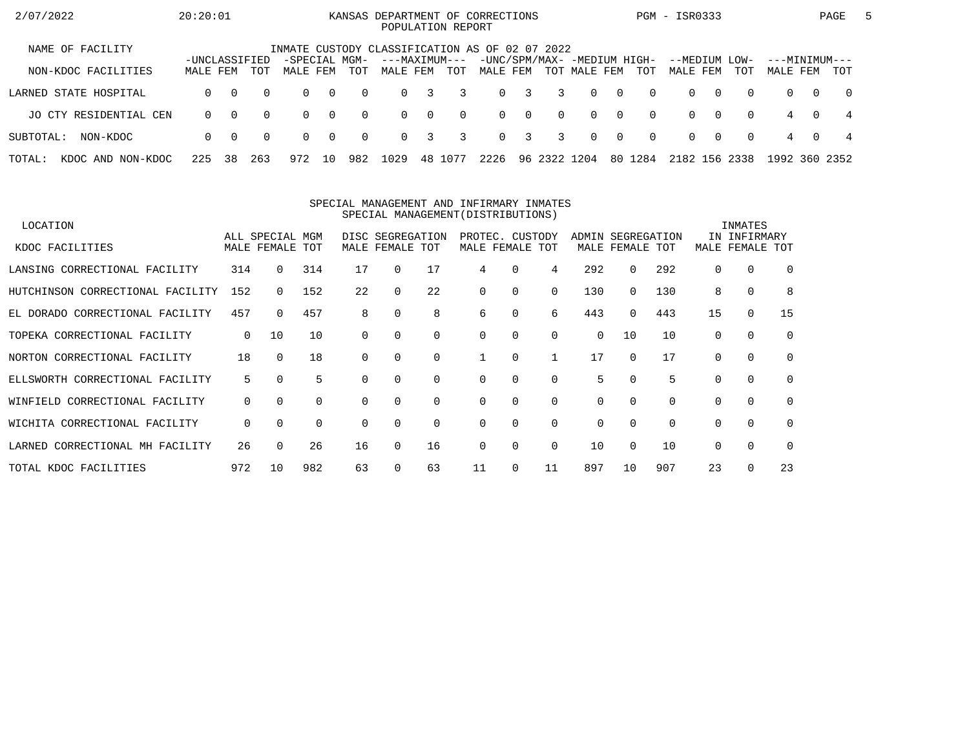| 2/07/2022                   | 20:20:01                  |          |          |                           |                |          |                           |                         | POPULATION REPORT | KANSAS DEPARTMENT OF CORRECTIONS               |             |                |              |                |          | PGM - ISR0333             |          |          |                           |          | PAGE       | $\mathbf{b}$ |
|-----------------------------|---------------------------|----------|----------|---------------------------|----------------|----------|---------------------------|-------------------------|-------------------|------------------------------------------------|-------------|----------------|--------------|----------------|----------|---------------------------|----------|----------|---------------------------|----------|------------|--------------|
| NAME OF FACILITY            |                           |          |          |                           |                |          |                           |                         |                   | INMATE CUSTODY CLASSIFICATION AS OF 02 07 2022 |             |                |              |                |          |                           |          |          |                           |          |            |              |
| NON-KDOC FACILITIES         | -UNCLASSIFIED<br>MALE FEM |          | TOT      | -SPECIAL MGM-<br>MALE FEM |                | TOT      | ---MAXIMUM---<br>MALE FEM |                         | TOT               | -UNC/SPM/MAX- -MEDIUM HIGH-<br>MALE FEM        |             |                | TOT MALE FEM |                | TOT      | --MEDIUM LOW-<br>MALE FEM |          | TOT      | ---MINIMUM---<br>MALE FEM |          | TOT        |              |
| LARNED STATE HOSPITAL       | 0                         | $\Omega$ | $\Omega$ | $\Omega$                  | $\overline{0}$ | $\Omega$ | $\Omega$                  | $\overline{\mathbf{3}}$ | 3                 |                                                | $0 \quad 3$ | $\overline{3}$ | $\Omega$     | $\cap$         | $\Omega$ | $\Omega$                  | $\Omega$ | $\Omega$ | $\Omega$                  | $\Omega$ | $\bigcirc$ |              |
| JO CTY RESIDENTIAL CEN      | $\Omega$                  | $\Omega$ | $\Omega$ | $\Omega$                  | $\bigcirc$     | $\Omega$ | $\Omega$                  | $\overline{0}$          | $\Omega$          |                                                | $0 \quad 0$ | $\Omega$       | $\Omega$     | $\overline{0}$ | $\Omega$ | $\Omega$                  | . റ      | $\Omega$ | 4                         | $\Omega$ | -4         |              |
| SUBTOTAL:<br>NON-KDOC       | $\Omega$                  | $\Omega$ | $\Omega$ | $\Omega$                  | $\overline{0}$ | $\Omega$ | $\Omega$                  | $\overline{3}$          | 3                 |                                                | $0 \quad 3$ | -3             | $\Omega$     | $\bigcap$      | $\Omega$ | $\Omega$                  | . റ      | $\Omega$ | 4                         | $\Omega$ | 4          |              |
| TOTAL:<br>KDOC AND NON-KDOC | 225                       | 38       | 263      | 972                       | 10             | 982      | 1029                      | 48                      | 1077              | 2226                                           |             | 96 2322 1204   |              | 80             | 1284     | 2182 156 2338             |          |          | 1992 360 2352             |          |            |              |

#### SPECIAL MANAGEMENT AND INFIRMARY INMATESSPECIAL MANAGEMENT(DISTRIBUTIONS)

| LOCATION                           |     |                 |     |          |                  |             |          |                 |          |          |             |          |          | INMATES      |          |
|------------------------------------|-----|-----------------|-----|----------|------------------|-------------|----------|-----------------|----------|----------|-------------|----------|----------|--------------|----------|
|                                    |     | ALL SPECIAL MGM |     |          | DISC SEGREGATION |             |          | PROTEC. CUSTODY |          | ADMIN    | SEGREGATION |          |          | IN INFIRMARY |          |
| KDOC FACILITIES                    |     | MALE FEMALE TOT |     | MALE     | FEMALE TOT       |             |          | MALE FEMALE TOT |          |          | MALE FEMALE | TOT      | MALE     | FEMALE       | TOT      |
| LANSING CORRECTIONAL FACILITY      | 314 | $\Omega$        | 314 | 17       | 0                | 17          | 4        | 0               | 4        | 292      | $\Omega$    | 292      | $\Omega$ | 0            | $\Omega$ |
| HUTCHINSON CORRECTIONAL FACILITY   | 152 |                 | 152 | 22       | $\Omega$         | 22          | $\Omega$ | 0               | 0        | 130      | 0           | 130      | 8        | $\mathbf 0$  | 8        |
| EL DORADO CORRECTIONAL FACILITY    | 457 | $\Omega$        | 457 | 8        | 0                | 8           | 6        | 0               | 6        | 443      | 0           | 443      | 15       | $\mathbf 0$  | 15       |
| TOPEKA CORRECTIONAL FACILITY       | 0   | 10              | 10  | 0        | 0                | $\Omega$    | $\Omega$ | 0               | $\Omega$ | $\Omega$ | 10          | 10       | $\Omega$ | $\Omega$     | $\Omega$ |
| NORTON CORRECTIONAL FACILITY       | 18  | $\Omega$        | 18  | 0        |                  | $\Omega$    |          | $\Omega$        |          | 17       | $\Omega$    | 17       | $\cap$   | 0            | $\Omega$ |
| ELLSWORTH CORRECTIONAL FACILITY    | 5   | $\Omega$        | 5   |          |                  | $\Omega$    | $\Omega$ | 0               | $\Omega$ | 5.       | $\Omega$    | 5        |          | $\mathbf 0$  | $\Omega$ |
| CORRECTIONAL FACILITY<br>WINFIELD  | 0   | $\Omega$        | 0   | $\Omega$ | $\Omega$         | $\mathbf 0$ | 0        | 0               | $\Omega$ | 0        | $\Omega$    | $\Omega$ | $\Omega$ | $\mathbf 0$  | $\Omega$ |
| WICHITA CORRECTIONAL FACILITY      | 0   | $\Omega$        | 0   | $\Omega$ | 0                | $\Omega$    | $\Omega$ | $\Omega$        | $\Omega$ | 0        | $\Omega$    | $\Omega$ | $\Omega$ | $\Omega$     | $\Omega$ |
| CORRECTIONAL MH FACILITY<br>LARNED | 26  | $\Omega$        | 26  | 16       | 0                | 16          | $\Omega$ | $\Omega$        | $\Omega$ | 10       | $\Omega$    | 10       | $\cap$   | $\Omega$     | $\Omega$ |
| TOTAL KDOC FACILITIES              | 972 | 10              | 982 | 63       |                  | 63          | 11       | 0               | 11       | 897      | 10          | 907      | 23       | 0            | 23       |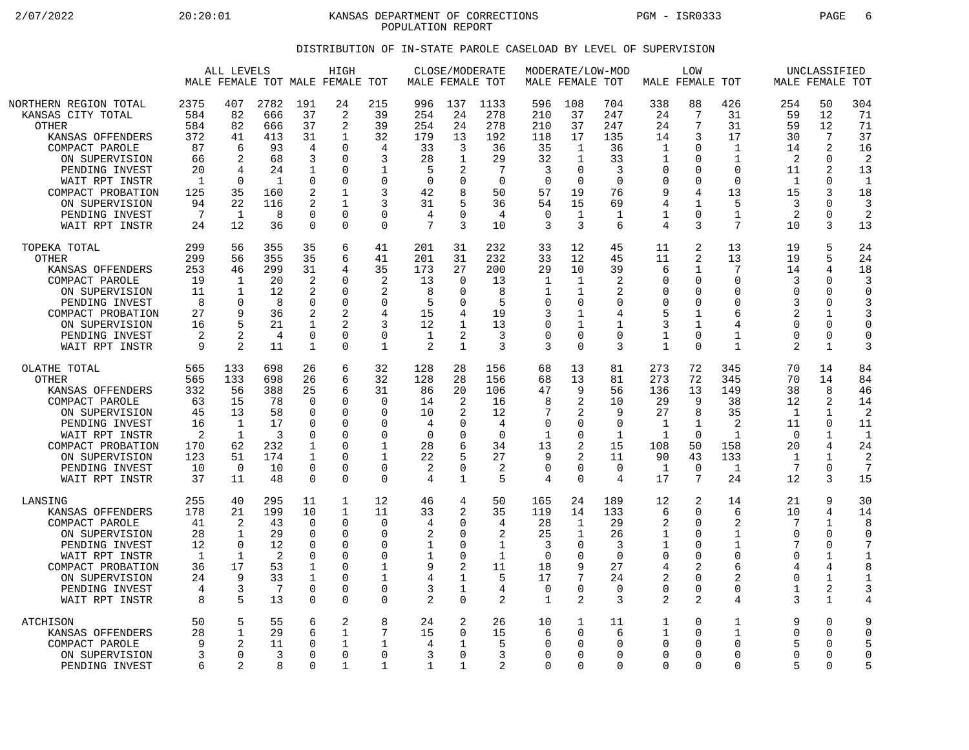2/07/2022 20:20:01 KANSAS DEPARTMENT OF CORRECTIONS PGM - ISR0333 PAGE 6 POPULATION REPORT

## DISTRIBUTION OF IN-STATE PAROLE CASELOAD BY LEVEL OF SUPERVISION

|                                                                                                                                                                                                                                   |                                                                                     | ALL LEVELS                                                                                      | MALE FEMALE TOT MALE FEMALE TOT                                           |                                                                                | HIGH                                                                                      |                                                                                                     | MALE FEMALE TOT                                                                     | CLOSE/MODERATE                                                                               |                                                                               | MALE FEMALE TOT                                                                    |                                                                                                        | MODERATE/LOW-MOD                                                            | MALE FEMALE TOT                                                                                      | <b>LOW</b>                                                                                   |                                                                                               |                                                                                | UNCLASSIFIED<br>MALE FEMALE TOT                                                                         |                                                                                           |
|-----------------------------------------------------------------------------------------------------------------------------------------------------------------------------------------------------------------------------------|-------------------------------------------------------------------------------------|-------------------------------------------------------------------------------------------------|---------------------------------------------------------------------------|--------------------------------------------------------------------------------|-------------------------------------------------------------------------------------------|-----------------------------------------------------------------------------------------------------|-------------------------------------------------------------------------------------|----------------------------------------------------------------------------------------------|-------------------------------------------------------------------------------|------------------------------------------------------------------------------------|--------------------------------------------------------------------------------------------------------|-----------------------------------------------------------------------------|------------------------------------------------------------------------------------------------------|----------------------------------------------------------------------------------------------|-----------------------------------------------------------------------------------------------|--------------------------------------------------------------------------------|---------------------------------------------------------------------------------------------------------|-------------------------------------------------------------------------------------------|
| NORTHERN REGION TOTAL<br>KANSAS CITY TOTAL<br><b>OTHER</b><br>KANSAS OFFENDERS<br>COMPACT PAROLE<br>ON SUPERVISION<br>PENDING INVEST<br>WAIT RPT INSTR<br>COMPACT PROBATION<br>ON SUPERVISION<br>PENDING INVEST<br>WAIT RPT INSTR | 2375<br>584<br>584<br>372<br>87<br>66<br>20<br>$\mathbf{1}$<br>125<br>94<br>7<br>24 | 407<br>82<br>82<br>41<br>6<br>$\overline{2}$<br>4<br>$\Omega$<br>35<br>22<br>$\mathbf{1}$<br>12 | 2782<br>666<br>666<br>413<br>93<br>68<br>24<br>1<br>160<br>116<br>8<br>36 | 191<br>37<br>37<br>31<br>4<br>3<br>1<br>0<br>2<br>2<br>$\Omega$<br>$\mathbf 0$ | 24<br>2<br>2<br>1<br>0<br>O<br>0<br>$\Omega$<br>1<br>$\mathbf{1}$<br>$\Omega$<br>$\Omega$ | 215<br>39<br>39<br>32<br>4<br>3<br>1<br>$\mathbf 0$<br>3<br>3<br>$\Omega$<br>$\Omega$               | 996<br>254<br>254<br>179<br>33<br>28<br>5<br>$\Omega$<br>42<br>31<br>4<br>7         | 137<br>24<br>24<br>13<br>3<br>1<br>2<br>$\Omega$<br>8<br>5<br>$\Omega$<br>3                  | 1133<br>278<br>278<br>192<br>36<br>29<br>7<br>$\Omega$<br>50<br>36<br>4<br>10 | 596<br>210<br>210<br>118<br>35<br>32<br>3<br>$\Omega$<br>57<br>54<br>$\Omega$<br>3 | 108<br>37<br>37<br>17<br>$\mathbf{1}$<br>1<br>$\mathbf 0$<br>$\Omega$<br>19<br>15<br>$\mathbf{1}$<br>3 | 704<br>247<br>247<br>135<br>36<br>33<br>3<br>$\Omega$<br>76<br>69<br>1<br>6 | 338<br>24<br>24<br>14<br>$\mathbf{1}$<br>1<br>$\mathbf 0$<br>$\Omega$<br>9<br>4<br>$\mathbf{1}$<br>4 | 88<br>7<br>7<br>3<br>$\mathbf 0$<br>$\Omega$<br>0<br>0<br>4<br>$\mathbf{1}$<br>$\Omega$<br>3 | 426<br>31<br>31<br>17<br>$\mathbf 1$<br>1<br>$\Omega$<br>$\Omega$<br>13<br>5<br>1<br>7        | 254<br>59<br>59<br>30<br>14<br>2<br>11<br>1<br>15<br>3<br>2<br>10              | 50<br>12<br>12<br>7<br>2<br>$\Omega$<br>2<br>$\Omega$<br>3<br>0<br>$\Omega$<br>3                        | 304<br>71<br>71<br>37<br>16<br>2<br>13<br>$\mathbf{1}$<br>18<br>3<br>$\overline{a}$<br>13 |
| TOPEKA TOTAL<br>OTHER<br>KANSAS OFFENDERS<br>COMPACT PAROLE<br>ON SUPERVISION<br>PENDING INVEST<br>COMPACT PROBATION<br>ON SUPERVISION<br>PENDING INVEST<br>WAIT RPT INSTR                                                        | 299<br>299<br>253<br>19<br>11<br>8<br>27<br>16<br>2<br>9                            | 56<br>56<br>46<br>1<br>1<br>$\Omega$<br>9                                                       | 355<br>355<br>299<br>20<br>12<br>8<br>36<br>21<br>4<br>11                 | 35<br>35<br>31<br>2<br>2<br>0<br>2<br>1<br>0<br>1                              | 6<br>6<br>4<br>O<br>0<br>$\Omega$<br>2<br>$\overline{a}$<br>$\Omega$<br>$\Omega$          | 41<br>41<br>35<br>2<br>2<br>$\Omega$<br>4<br>3<br>$\Omega$<br>$\mathbf{1}$                          | 201<br>201<br>173<br>13<br>8<br>5<br>15<br>12<br>1<br>$\overline{2}$                | 31<br>31<br>27<br>$\Omega$<br>0<br>$\Omega$<br>4<br>$\mathbf 1$<br>2<br>$\mathbf 1$          | 232<br>232<br>200<br>13<br>8<br>5<br>19<br>13<br>3<br>3                       | 33<br>33<br>29<br>1<br>1<br>$\Omega$<br>3<br>$\mathbf 0$<br>$\Omega$<br>3          | 12<br>12<br>10<br>1<br>$\mathbf{1}$<br>$\Omega$<br>1<br>$\mathbf{1}$<br>$\Omega$<br>$\Omega$           | 45<br>45<br>39<br>2<br>2<br>$\Omega$<br>4<br>$\mathbf{1}$<br>$\Omega$<br>3  | 11<br>11<br>6<br>$\Omega$<br>$\Omega$<br>$\Omega$<br>5<br>3<br>$\mathbf{1}$<br>$\mathbf{1}$          | 2<br>2<br>$\mathbf{1}$<br>0<br>0<br>$\Omega$<br>1<br>$\mathbf{1}$<br>$\Omega$<br>$\Omega$    | 13<br>13<br>7<br>$\Omega$<br>$\Omega$<br>$\Omega$<br>6<br>$\overline{4}$<br>1<br>$\mathbf{1}$ | 19<br>19<br>14<br>3<br>$\Omega$<br>3<br>2<br>$\Omega$<br>$\Omega$<br>2         | 5<br>5<br>4<br>$\Omega$<br>0<br>O<br>1<br>0<br>$\Omega$<br>$\mathbf{1}$                                 | 24<br>24<br>18<br>3<br>$\Omega$<br>3<br>3<br>$\Omega$<br>$\Omega$<br>3                    |
| OLATHE TOTAL<br><b>OTHER</b><br>KANSAS OFFENDERS<br>COMPACT PAROLE<br>ON SUPERVISION<br>PENDING INVEST<br>WAIT RPT INSTR<br>COMPACT PROBATION<br>ON SUPERVISION<br>PENDING INVEST<br>WAIT RPT INSTR                               | 565<br>565<br>332<br>63<br>45<br>16<br>$\overline{2}$<br>170<br>123<br>10<br>37     | 133<br>133<br>56<br>15<br>13<br>1<br>$\mathbf 1$<br>62<br>51<br>$\Omega$<br>11                  | 698<br>698<br>388<br>78<br>58<br>17<br>3<br>232<br>174<br>10<br>48        | 26<br>26<br>25<br>0<br>0<br>0<br>0<br>1<br>1<br>$\mathbf 0$<br>$\Omega$        | 6<br>6<br>6<br>$\Omega$<br>$\Omega$<br>0<br>0<br>O<br>$\Omega$<br>$\Omega$<br>$\Omega$    | 32<br>32<br>31<br>$\Omega$<br>$\Omega$<br>$\Omega$<br>$\Omega$<br>1<br>1<br>$\mathbf 0$<br>$\Omega$ | 128<br>128<br>86<br>14<br>10<br>4<br>$\mathbf 0$<br>28<br>22<br>$\overline{2}$<br>4 | 28<br>28<br>20<br>2<br>$\overline{2}$<br>$\Omega$<br>0<br>6<br>5<br>$\Omega$<br>$\mathbf{1}$ | 156<br>156<br>106<br>16<br>12<br>4<br>$\mathbf 0$<br>34<br>27<br>2<br>5       | 68<br>68<br>47<br>8<br>7<br>0<br>1<br>13<br>9<br>$\mathbf 0$<br>4                  | 13<br>13<br>9<br>2<br>2<br>0<br>$\mathbf 0$<br>$\overline{2}$<br>2<br>$\mathbf 0$<br>$\Omega$          | 81<br>81<br>56<br>10<br>9<br>$\Omega$<br>$\mathbf 1$<br>15<br>11<br>0<br>4  | 273<br>273<br>136<br>29<br>27<br>1<br>1<br>108<br>90<br>1<br>17                                      | 72<br>72<br>13<br>9<br>8<br>1<br>$\Omega$<br>50<br>43<br>$\overline{0}$<br>7                 | 345<br>345<br>149<br>38<br>35<br>2<br>$\mathbf{1}$<br>158<br>133<br>$\mathbf{1}$<br>24        | 70<br>70<br>38<br>12<br>$\mathbf 1$<br>11<br>$\mathbf 0$<br>20<br>1<br>7<br>12 | 14<br>14<br>8<br>2<br>$\mathbf{1}$<br>0<br>$\mathbf{1}$<br>4<br>1<br>$\Omega$<br>3                      | 84<br>84<br>46<br>14<br>2<br>11<br>$\mathbf{1}$<br>24<br>2<br>7<br>15                     |
| LANSING<br>KANSAS OFFENDERS<br>COMPACT PAROLE<br>ON SUPERVISION<br>PENDING INVEST<br>WAIT RPT INSTR<br>COMPACT PROBATION<br>ON SUPERVISION<br>PENDING INVEST<br>WAIT RPT INSTR                                                    | 255<br>178<br>41<br>28<br>12<br>1<br>36<br>24<br>4<br>8                             | 40<br>21<br>2<br>$\mathbf 1$<br>$\Omega$<br>$\mathbf{1}$<br>17<br>9<br>3<br>5                   | 295<br>199<br>43<br>29<br>12<br>$\overline{2}$<br>53<br>33<br>7<br>13     | 11<br>10<br>0<br>$\mathbf 0$<br>0<br>0<br>1<br>1<br>$\mathbf 0$<br>0           | 1<br>$\mathbf{1}$<br>$\Omega$<br>0<br>$\Omega$<br>0<br>0<br>$\Omega$<br>$\Omega$<br>0     | 12<br>11<br>$\Omega$<br>$\Omega$<br>$\Omega$<br>$\mathbf 0$<br>1<br>1<br>$\Omega$<br>$\mathbf 0$    | 46<br>33<br>4<br>2<br>1<br>1<br>9<br>4<br>3<br>$\overline{a}$                       | 4<br>2<br>$\Omega$<br>$\Omega$<br>$\Omega$<br>$\Omega$<br>2<br>1<br>1<br>$\mathbf 0$         | 50<br>35<br>4<br>2<br>1<br>$\mathbf{1}$<br>11<br>5<br>4<br>2                  | 165<br>119<br>28<br>25<br>3<br>$\overline{0}$<br>18<br>17<br>$\overline{0}$<br>1   | 24<br>14<br>1<br>$\mathbf{1}$<br>0<br>$\mathbf 0$<br>9<br>7<br>$\Omega$<br>$\overline{2}$              | 189<br>133<br>29<br>26<br>3<br>$\mathbf 0$<br>27<br>24<br>$\Omega$<br>3     | 12<br>6<br>2<br>$\mathbf{1}$<br>1<br>$\mathbf 0$<br>4<br>2<br>$\Omega$<br>2                          | 2<br>$\Omega$<br>$\Omega$<br>$\mathbf 0$<br>$\Omega$<br>$\mathbf 0$<br>2<br>0<br>0<br>2      | 14<br>6<br>2<br>1<br>1<br>$\Omega$<br>6<br>$\mathcal{D}$<br>$\Omega$<br>4                     | 21<br>10<br>7<br>$\Omega$<br>7<br>$\Omega$<br>4<br>$\Omega$<br>1<br>3          | 9<br>4<br>$\mathbf{1}$<br>0<br>O<br>$\mathbf{1}$<br>4<br>$\mathbf{1}$<br>$\overline{2}$<br>$\mathbf{1}$ | 30<br>14<br>8<br>$\Omega$<br>1<br>8<br>3<br>4                                             |
| ATCHISON<br>KANSAS OFFENDERS<br>COMPACT PAROLE<br>ON SUPERVISION<br>PENDING INVEST                                                                                                                                                | 50<br>28<br>9<br>6                                                                  | 5<br>$\mathbf 1$<br>$\mathfrak{D}$<br>$\Omega$<br>2                                             | 55<br>29<br>11<br>3<br>8                                                  | 6<br>6<br>0<br>$\mathbf 0$<br>$\Omega$                                         | 2<br>1<br>$\mathbf{1}$<br>$\Omega$<br>-1                                                  | 8<br>7<br>1<br>$\Omega$<br>1                                                                        | 24<br>15<br>4<br>3<br>$\mathbf{1}$                                                  | 2<br>$\mathbf 0$<br>1<br>$\Omega$<br>1                                                       | 26<br>15<br>5<br>3<br>2                                                       | 10<br>6<br>$\Omega$<br>0<br>$\Omega$                                               | $\mathbf 1$<br>$\mathbf 0$<br>$\Omega$<br>$\Omega$<br>$\Omega$                                         | 11<br>6<br>$\Omega$<br>$\Omega$<br>$\Omega$                                 | 1<br>1<br>$\Omega$<br>$\Omega$<br>$\Omega$                                                           | $\Omega$<br>$\Omega$<br>$\Omega$<br>$\Omega$<br>$\Omega$                                     | 1<br>$\mathbf{1}$<br>$\Omega$<br>$\Omega$<br>$\Omega$                                         | 9<br>$\Omega$<br>5<br>$\Omega$<br>5                                            | 0<br>0<br>O<br>0<br>$\Omega$                                                                            | 9<br>$\Omega$<br>5<br>$\Omega$<br>5                                                       |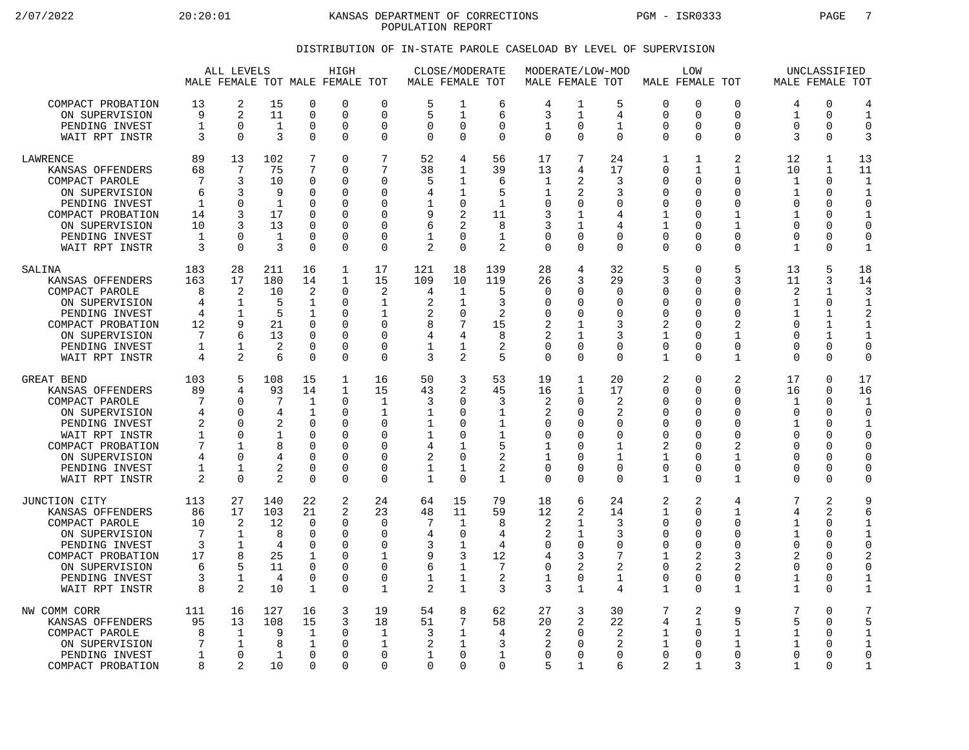2/07/2022 20:20:01 KANSAS DEPARTMENT OF CORRECTIONS PGM - ISR0333 PAGE 7 POPULATION REPORT

## DISTRIBUTION OF IN-STATE PAROLE CASELOAD BY LEVEL OF SUPERVISION

|                                                                                                                                                                                   |                                                                                      | ALL LEVELS                                                                        |                                                                                   |                                                                                                            | HIGH<br>MALE FEMALE TOT MALE FEMALE TOT                          |                                                                                       | MALE FEMALE TOT                                    | <b>CLOSE/MODERATE</b>                                                                           |                                                                        | MODERATE/LOW-MOD<br>MALE FEMALE TOT                                                      |                                                                                                  |                                                                                        | MALE FEMALE TOT                                                                         | LOW                                                                                                           |                                                                                                               |                                                                                            | UNCLASSIFIED<br>MALE FEMALE TOT                                                         |                                                                                                                        |
|-----------------------------------------------------------------------------------------------------------------------------------------------------------------------------------|--------------------------------------------------------------------------------------|-----------------------------------------------------------------------------------|-----------------------------------------------------------------------------------|------------------------------------------------------------------------------------------------------------|------------------------------------------------------------------|---------------------------------------------------------------------------------------|----------------------------------------------------|-------------------------------------------------------------------------------------------------|------------------------------------------------------------------------|------------------------------------------------------------------------------------------|--------------------------------------------------------------------------------------------------|----------------------------------------------------------------------------------------|-----------------------------------------------------------------------------------------|---------------------------------------------------------------------------------------------------------------|---------------------------------------------------------------------------------------------------------------|--------------------------------------------------------------------------------------------|-----------------------------------------------------------------------------------------|------------------------------------------------------------------------------------------------------------------------|
| COMPACT PROBATION                                                                                                                                                                 | 13                                                                                   | 2                                                                                 | 15                                                                                | $\mathbf 0$                                                                                                | 0                                                                | $\mathbf 0$                                                                           | 5                                                  | 1                                                                                               | 6                                                                      | 4                                                                                        | 1                                                                                                | 5                                                                                      | $\mathbf 0$                                                                             | $\mathbf 0$                                                                                                   | 0                                                                                                             | 4                                                                                          | 0                                                                                       | 4                                                                                                                      |
| ON SUPERVISION                                                                                                                                                                    | 9                                                                                    | 2                                                                                 | 11                                                                                | $\overline{0}$                                                                                             | 0                                                                | $\Omega$                                                                              | 5                                                  | 1                                                                                               | 6                                                                      | 3                                                                                        | 1                                                                                                | 4                                                                                      | 0                                                                                       | $\Omega$                                                                                                      | $\Omega$                                                                                                      | $\mathbf{1}$                                                                               | $\mathbf 0$                                                                             | $\mathbf{1}$                                                                                                           |
| PENDING INVEST                                                                                                                                                                    | $\mathbf{1}$                                                                         | $\mathbf 0$                                                                       | 1                                                                                 | $\mathbf 0$                                                                                                | 0                                                                | 0                                                                                     | $\mathbf 0$                                        | $\mathbf 0$                                                                                     | $\Omega$                                                               | 1                                                                                        | $\mathbf 0$                                                                                      | 1                                                                                      | 0                                                                                       | $\Omega$                                                                                                      | 0                                                                                                             | $\Omega$                                                                                   | 0                                                                                       | $\mathbf 0$                                                                                                            |
| WAIT RPT INSTR                                                                                                                                                                    | 3                                                                                    | $\Omega$                                                                          | 3                                                                                 | $\Omega$                                                                                                   | 0                                                                | $\Omega$                                                                              | $\Omega$                                           | $\Omega$                                                                                        | $\Omega$                                                               | $\Omega$                                                                                 | $\Omega$                                                                                         | $\Omega$                                                                               | $\Omega$                                                                                | $\Omega$                                                                                                      | 0                                                                                                             | 3                                                                                          | $\Omega$                                                                                | 3                                                                                                                      |
| <b>LAWRENCE</b>                                                                                                                                                                   | 89                                                                                   | 13                                                                                | 102                                                                               | 7                                                                                                          | 0                                                                | 7                                                                                     | 52                                                 | 4                                                                                               | 56                                                                     | 17                                                                                       | 7                                                                                                | 24                                                                                     | $\mathbf{1}$                                                                            | $\mathbf{1}$                                                                                                  | $\overline{a}$                                                                                                | 12                                                                                         | 1                                                                                       | 13                                                                                                                     |
| KANSAS OFFENDERS                                                                                                                                                                  | 68                                                                                   | 7                                                                                 | 75                                                                                | 7                                                                                                          | 0                                                                | 7                                                                                     | 38                                                 | 1                                                                                               | 39                                                                     | 13                                                                                       | 4                                                                                                | 17                                                                                     | 0                                                                                       | 1                                                                                                             | 1                                                                                                             | 10                                                                                         | 1                                                                                       | 11                                                                                                                     |
| COMPACT PAROLE                                                                                                                                                                    | 7                                                                                    | 3                                                                                 | 10                                                                                | $\mathbf 0$                                                                                                | 0                                                                | $\Omega$                                                                              | 5                                                  | 1                                                                                               | 6                                                                      | 1                                                                                        | 2                                                                                                | 3                                                                                      | 0                                                                                       | $\Omega$                                                                                                      | 0                                                                                                             | $\mathbf 1$                                                                                | $\mathbf 0$                                                                             | $\mathbf{1}$                                                                                                           |
| ON SUPERVISION                                                                                                                                                                    | 6                                                                                    | 3                                                                                 | 9                                                                                 | $\Omega$                                                                                                   | 0                                                                | $\Omega$                                                                              | 4                                                  | 1                                                                                               | 5                                                                      | 1                                                                                        | 2                                                                                                | 3                                                                                      | $\Omega$                                                                                | $\Omega$                                                                                                      | $\Omega$                                                                                                      | 1                                                                                          | $\Omega$                                                                                | $\mathbf{1}$                                                                                                           |
| PENDING INVEST                                                                                                                                                                    | $\mathbf{1}$                                                                         | $\mathbf 0$                                                                       | $\mathbf{1}$                                                                      | 0                                                                                                          | 0                                                                | 0                                                                                     | 1                                                  | 0                                                                                               | $\mathbf 1$                                                            | 0                                                                                        | 0                                                                                                | 0                                                                                      | 0                                                                                       | $\Omega$                                                                                                      | $\Omega$                                                                                                      | $\Omega$                                                                                   | 0                                                                                       | $\mathbf 0$                                                                                                            |
| COMPACT PROBATION                                                                                                                                                                 | 14                                                                                   | 3                                                                                 | 17                                                                                | $\Omega$                                                                                                   | 0                                                                | $\Omega$                                                                              | 9                                                  | $\overline{2}$                                                                                  | 11                                                                     | 3                                                                                        | 1                                                                                                | 4                                                                                      | 1                                                                                       | $\Omega$                                                                                                      | 1                                                                                                             | 1                                                                                          | 0                                                                                       | $\mathbf{1}$                                                                                                           |
| ON SUPERVISION                                                                                                                                                                    | 10                                                                                   | 3                                                                                 | 13                                                                                | $\Omega$                                                                                                   | $\Omega$                                                         | $\Omega$                                                                              | 6                                                  | 2                                                                                               | 8                                                                      | 3                                                                                        | 1                                                                                                | 4                                                                                      | $\mathbf{1}$                                                                            | ∩                                                                                                             | 1                                                                                                             | ∩                                                                                          | 0                                                                                       | $\Omega$                                                                                                               |
| PENDING INVEST                                                                                                                                                                    | 1                                                                                    | $\mathbf 0$                                                                       | 1                                                                                 | $\mathbf 0$                                                                                                | 0                                                                | $\mathbf 0$                                                                           | 1                                                  | $\mathbf 0$                                                                                     | $\mathbf{1}$                                                           | $\mathbf 0$                                                                              | 0                                                                                                | 0                                                                                      | $\mathbf 0$                                                                             | $\Omega$                                                                                                      | 0                                                                                                             | $\Omega$                                                                                   | 0                                                                                       | $\mathbf 0$                                                                                                            |
| WAIT RPT INSTR                                                                                                                                                                    | 3                                                                                    | $\Omega$                                                                          | 3                                                                                 | $\Omega$                                                                                                   | 0                                                                | $\Omega$                                                                              | 2                                                  | $\Omega$                                                                                        | $\overline{2}$                                                         | $\Omega$                                                                                 | $\Omega$                                                                                         | $\Omega$                                                                               | $\Omega$                                                                                | $\Omega$                                                                                                      | 0                                                                                                             | $\mathbf{1}$                                                                               | $\Omega$                                                                                | $\mathbf{1}$                                                                                                           |
| SALINA                                                                                                                                                                            | 183                                                                                  | 28                                                                                | 211                                                                               | 16                                                                                                         | 1                                                                | 17                                                                                    | 121                                                | 18                                                                                              | 139                                                                    | 28                                                                                       | 4                                                                                                | 32                                                                                     | 5                                                                                       | $\Omega$                                                                                                      | 5                                                                                                             | 13                                                                                         | 5                                                                                       | 18                                                                                                                     |
| KANSAS OFFENDERS                                                                                                                                                                  | 163                                                                                  | 17                                                                                | 180                                                                               | 14                                                                                                         | $\mathbf{1}$                                                     | 15                                                                                    | 109                                                | 10                                                                                              | 119                                                                    | 26                                                                                       | 3                                                                                                | 29                                                                                     | 3                                                                                       | $\Omega$                                                                                                      | 3                                                                                                             | 11                                                                                         | 3                                                                                       | 14                                                                                                                     |
| COMPACT PAROLE                                                                                                                                                                    | 8                                                                                    | $\overline{2}$                                                                    | 10                                                                                | $\overline{2}$                                                                                             | 0                                                                | 2                                                                                     | 4                                                  | 1                                                                                               | 5                                                                      | 0                                                                                        | $\Omega$                                                                                         | $\Omega$                                                                               | 0                                                                                       | $\Omega$                                                                                                      | 0                                                                                                             | 2                                                                                          | 1                                                                                       | 3                                                                                                                      |
| ON SUPERVISION                                                                                                                                                                    | 4                                                                                    | 1                                                                                 | 5                                                                                 | $\mathbf 1$                                                                                                | 0                                                                | 1                                                                                     | 2                                                  | 1                                                                                               | 3                                                                      | $\mathbf 0$                                                                              | 0                                                                                                | 0                                                                                      | $\mathbf 0$                                                                             | $\Omega$                                                                                                      | $\Omega$                                                                                                      | $\mathbf{1}$                                                                               | $\mathbf 0$                                                                             | $1\,$                                                                                                                  |
| PENDING INVEST                                                                                                                                                                    | 4                                                                                    | 1                                                                                 | 5                                                                                 | $\mathbf{1}$                                                                                               | 0                                                                | 1                                                                                     | 2                                                  | 0                                                                                               | $\overline{c}$                                                         | 0                                                                                        | O                                                                                                | 0                                                                                      | 0                                                                                       | $\Omega$                                                                                                      | $\Omega$                                                                                                      | 1                                                                                          | 1                                                                                       | $\overline{2}$                                                                                                         |
| COMPACT PROBATION                                                                                                                                                                 | 12                                                                                   | 9                                                                                 | 21                                                                                | $\mathbf 0$                                                                                                | 0                                                                | $\Omega$                                                                              | 8                                                  | 7                                                                                               | 15                                                                     | 2                                                                                        | 1                                                                                                | 3                                                                                      | 2                                                                                       | $\Omega$                                                                                                      | $\mathfrak{D}$                                                                                                | $\Omega$                                                                                   | $\mathbf{1}$                                                                            | $\mathbf{1}$                                                                                                           |
| ON SUPERVISION                                                                                                                                                                    | 7                                                                                    | 6                                                                                 | 13                                                                                | $\Omega$                                                                                                   | $\Omega$                                                         | $\Omega$                                                                              | 4                                                  | 4                                                                                               | 8                                                                      | 2                                                                                        | $\mathbf{1}$                                                                                     | 3                                                                                      | $\mathbf{1}$                                                                            | $\Omega$                                                                                                      | $\mathbf{1}$                                                                                                  | $\Omega$                                                                                   | $\mathbf{1}$                                                                            | $1\,$                                                                                                                  |
| PENDING INVEST                                                                                                                                                                    | 1                                                                                    | 1                                                                                 | 2                                                                                 | 0                                                                                                          | 0                                                                | 0                                                                                     | 1                                                  | 1                                                                                               | 2                                                                      | 0                                                                                        | $\Omega$                                                                                         | $\Omega$                                                                               | 0                                                                                       | $\Omega$                                                                                                      | 0                                                                                                             | $\Omega$                                                                                   | 0                                                                                       | 0                                                                                                                      |
| WAIT RPT INSTR                                                                                                                                                                    | 4                                                                                    | 2                                                                                 | 6                                                                                 | $\Omega$                                                                                                   | 0                                                                | $\mathbf 0$                                                                           | 3                                                  | 2                                                                                               | 5                                                                      | $\overline{0}$                                                                           | $\Omega$                                                                                         | $\Omega$                                                                               | $\mathbf{1}$                                                                            | $\Omega$                                                                                                      | $\mathbf{1}$                                                                                                  | $\Omega$                                                                                   | $\Omega$                                                                                | $\Omega$                                                                                                               |
| GREAT BEND<br>KANSAS OFFENDERS<br>COMPACT PAROLE<br>ON SUPERVISION<br>PENDING INVEST<br>WAIT RPT INSTR<br>COMPACT PROBATION<br>ON SUPERVISION<br>PENDING INVEST<br>WAIT RPT INSTR | 103<br>89<br>7<br>4<br>2<br>$\mathbf{1}$<br>7<br>4<br>$\mathbf{1}$<br>$\overline{2}$ | 5<br>4<br>0<br>0<br>0<br>$\Omega$<br>$\mathbf{1}$<br>$\mathbf 0$<br>1<br>$\Omega$ | 108<br>93<br>7<br>4<br>2<br>$\mathbf{1}$<br>8<br>$\overline{2}$<br>$\mathfrak{D}$ | 15<br>14<br>$\mathbf 1$<br>1<br>$\mathbf 0$<br>$\Omega$<br>$\Omega$<br>$\mathbf 0$<br>$\Omega$<br>$\Omega$ | $\mathbf{1}$<br>1<br>0<br>0<br>0<br>0<br>$\Omega$<br>0<br>0<br>0 | 16<br>15<br>1<br>1<br>0<br>$\Omega$<br>$\Omega$<br>0<br>$\Omega$<br>$\Omega$          | 50<br>43<br>3<br>1<br>-1<br>4<br>2<br>$\mathbf{1}$ | 3<br>2<br>$\Omega$<br>0<br>$\Omega$<br>$\Omega$<br>1<br>$\mathbf 0$<br>1<br>$\Omega$            | 53<br>45<br>3<br>1<br>1<br>$\mathbf{1}$<br>5<br>2<br>2<br>$\mathbf{1}$ | 19<br>16<br>2<br>$\overline{2}$<br>0<br>$\mathbf 0$<br>1<br>1<br>$\mathbf 0$<br>$\Omega$ | $\mathbf{1}$<br>$\mathbf{1}$<br>$\Omega$<br>O<br>U<br>O<br>U<br>$\Omega$<br>$\Omega$<br>$\Omega$ | 20<br>17<br>2<br>$\overline{2}$<br>0<br>0<br>$\mathbf{1}$<br>1<br>$\Omega$<br>$\Omega$ | 2<br>$\Omega$<br>0<br>0<br>0<br>0<br>2<br>1<br>0<br>1                                   | $\Omega$<br>$\Omega$<br>$\Omega$<br>$\Omega$<br>$\Omega$<br>$\Omega$<br>∩<br>$\Omega$<br>$\Omega$<br>$\Omega$ | 2<br>0<br>$\Omega$<br>$\Omega$<br>$\Omega$<br>$\Omega$<br>$\mathfrak{D}$<br>$\mathbf{1}$<br>0<br>$\mathbf{1}$ | 17<br>16<br>1<br>$\Omega$<br>1<br>$\Omega$<br>$\Omega$<br>$\Omega$<br>$\Omega$<br>$\Omega$ | $\mathbf 0$<br>$\Omega$<br>$\mathbf 0$<br>0<br>0<br>0<br>$\Omega$<br>0<br>0<br>$\Omega$ | 17<br>16<br>$\mathbf{1}$<br>$\Omega$<br>$\mathbf{1}$<br>$\mathbf 0$<br>$\Omega$<br>$\mathbf 0$<br>$\Omega$<br>$\Omega$ |
| JUNCTION CITY<br>KANSAS OFFENDERS<br>COMPACT PAROLE<br>ON SUPERVISION<br>PENDING INVEST<br>COMPACT PROBATION<br>ON SUPERVISION<br>PENDING INVEST<br>WAIT RPT INSTR                | 113<br>86<br>10<br>7<br>3<br>17<br>6<br>3<br>8                                       | 27<br>17<br>2<br>1<br>$\mathbf{1}$<br>8<br>5<br>1<br>2                            | 140<br>103<br>12<br>8<br>4<br>25<br>11<br>4<br>10                                 | 22<br>21<br>$\mathbf 0$<br>$\Omega$<br>$\Omega$<br>$\mathbf 1$<br>$\Omega$<br>0<br>$\mathbf{1}$            | 2<br>2<br>0<br>$\Omega$<br>0<br>$\Omega$<br>$\Omega$<br>0<br>0   | 24<br>23<br>$\mathbf 0$<br>$\Omega$<br>$\Omega$<br>1<br>$\Omega$<br>0<br>$\mathbf{1}$ | 64<br>48<br>4<br>3<br>9<br>6<br>1<br>2             | 15<br>11<br>1<br>$\mathbf 0$<br>$\mathbf 1$<br>3<br>$\mathbf{1}$<br>$\mathbf 1$<br>$\mathbf{1}$ | 79<br>59<br>8<br>4<br>4<br>12<br>7<br>2<br>3                           | 18<br>12<br>2<br>2<br>0<br>4<br>$\mathbf 0$<br>1<br>3                                    | 6<br>2<br>1<br>1<br>$\Omega$<br>3<br>2<br>0<br>$\mathbf{1}$                                      | 24<br>14<br>3<br>3<br>$\Omega$<br>7<br>2<br>1<br>4                                     | 2<br>1<br>$\mathbf 0$<br>$\Omega$<br>0<br>$\mathbf{1}$<br>$\Omega$<br>0<br>$\mathbf{1}$ | 2<br>$\Omega$<br>$\Omega$<br>$\Omega$<br>$\Omega$<br>2<br>$\overline{2}$<br>0<br>$\Omega$                     | 4<br>1<br>0<br>$\Omega$<br>0<br>3<br>2<br>0<br>$\mathbf{1}$                                                   | 7<br>4<br>1<br>1<br>$\Omega$<br>$\overline{2}$<br>$\Omega$<br>$\mathbf{1}$<br>1            | $\overline{a}$<br>2<br>0<br>0<br>$\Omega$<br>0<br>$\Omega$<br>0<br>$\Omega$             | 9<br>6<br>1<br>$\mathbf{1}$<br>$\Omega$<br>$\overline{2}$<br>$\mathbf 0$<br>1<br>$\mathbf{1}$                          |
| NW COMM CORR                                                                                                                                                                      | 111                                                                                  | 16                                                                                | 127                                                                               | 16                                                                                                         | 3                                                                | 19                                                                                    | 54                                                 | 8                                                                                               | 62                                                                     | 27                                                                                       | 3                                                                                                | 30                                                                                     | 7                                                                                       | 2                                                                                                             | 9                                                                                                             | 7                                                                                          | 0                                                                                       | 7                                                                                                                      |
| KANSAS OFFENDERS                                                                                                                                                                  | 95                                                                                   | 13                                                                                | 108                                                                               | 15                                                                                                         | 3                                                                | 18                                                                                    | 51                                                 | 7                                                                                               | 58                                                                     | 20                                                                                       | 2                                                                                                | 22                                                                                     | 4                                                                                       | 1                                                                                                             | 5                                                                                                             | 5                                                                                          | 0                                                                                       | 5                                                                                                                      |
| COMPACT PAROLE                                                                                                                                                                    | 8                                                                                    | $\mathbf{1}$                                                                      | 9                                                                                 | $\mathbf 1$                                                                                                | 0                                                                | $\mathbf{1}$                                                                          | 3                                                  | $\mathbf{1}$                                                                                    | $\overline{4}$                                                         | 2                                                                                        | 0                                                                                                | 2                                                                                      | $\mathbf{1}$                                                                            | $\Omega$                                                                                                      | $\mathbf 1$                                                                                                   | $\mathbf{1}$                                                                               | $\mathbf 0$                                                                             | $\mathbf{1}$                                                                                                           |
| ON SUPERVISION                                                                                                                                                                    | 7                                                                                    | $\mathbf{1}$                                                                      | 8                                                                                 | $\mathbf{1}$                                                                                               | 0                                                                | 1                                                                                     | 2                                                  | $\mathbf{1}$                                                                                    | 3                                                                      | 2                                                                                        | O                                                                                                | 2                                                                                      | 1                                                                                       | $\Omega$                                                                                                      | 1                                                                                                             | 1                                                                                          | $\Omega$                                                                                | 1                                                                                                                      |
| PENDING INVEST                                                                                                                                                                    | 1                                                                                    | $\Omega$                                                                          | 1                                                                                 | $\Omega$                                                                                                   | $\Omega$                                                         | $\Omega$                                                                              | 1                                                  | $\mathbf 0$                                                                                     | $\mathbf{1}$                                                           | $\mathbf 0$                                                                              | $\Omega$                                                                                         | $\Omega$                                                                               | $\mathbf 0$                                                                             | $\Omega$                                                                                                      | $\Omega$                                                                                                      | $\Omega$                                                                                   | 0                                                                                       | $\mathbf 0$                                                                                                            |
| COMPACT PROBATION                                                                                                                                                                 | 8                                                                                    | $\mathfrak{D}$                                                                    | 10                                                                                | $\Omega$                                                                                                   | $\Omega$                                                         | $\Omega$                                                                              | $\Omega$                                           | $\Omega$                                                                                        | $\Omega$                                                               | 5                                                                                        | $\mathbf{1}$                                                                                     | 6                                                                                      | 2                                                                                       | 1                                                                                                             | 3                                                                                                             | 1                                                                                          | $\Omega$                                                                                | $\mathbf{1}$                                                                                                           |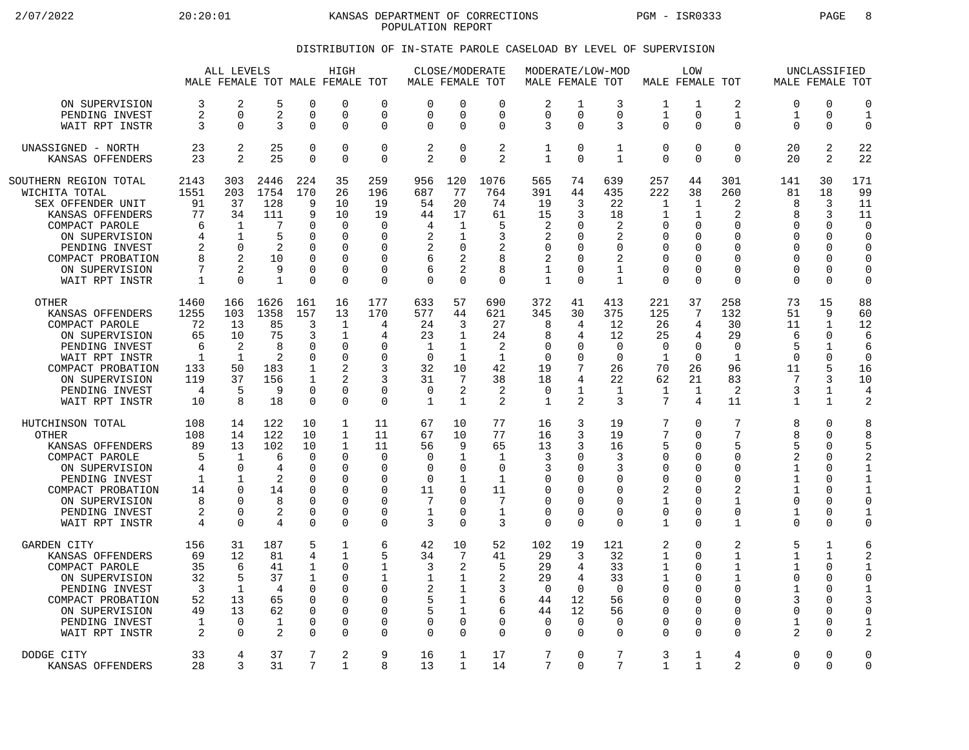2/07/2022 20:20:01 KANSAS DEPARTMENT OF CORRECTIONS PGM - ISR0333 PAGE 8 POPULATION REPORT

## DISTRIBUTION OF IN-STATE PAROLE CASELOAD BY LEVEL OF SUPERVISION

|                                                                                                                                                                                                |                                                                   | ALL LEVELS                                                                                 |                                                                      |                                                                                              | HIGH<br>MALE FEMALE TOT MALE FEMALE                                            | TOT                                                                              |                                                             |                                                                                          | CLOSE/MODERATE<br>MALE FEMALE TOT                            |                                                                        | MODERATE/LOW-MOD<br>MALE FEMALE TOT                              |                                                                        |                                                                            | LOW<br>MALE FEMALE TOT                                                          |                                                                                |                                                                                                | UNCLASSIFIED                                                                           | MALE FEMALE TOT                                                                            |
|------------------------------------------------------------------------------------------------------------------------------------------------------------------------------------------------|-------------------------------------------------------------------|--------------------------------------------------------------------------------------------|----------------------------------------------------------------------|----------------------------------------------------------------------------------------------|--------------------------------------------------------------------------------|----------------------------------------------------------------------------------|-------------------------------------------------------------|------------------------------------------------------------------------------------------|--------------------------------------------------------------|------------------------------------------------------------------------|------------------------------------------------------------------|------------------------------------------------------------------------|----------------------------------------------------------------------------|---------------------------------------------------------------------------------|--------------------------------------------------------------------------------|------------------------------------------------------------------------------------------------|----------------------------------------------------------------------------------------|--------------------------------------------------------------------------------------------|
| ON SUPERVISION                                                                                                                                                                                 | 3                                                                 | 2                                                                                          | 5                                                                    | $\Omega$                                                                                     | $\Omega$                                                                       | $\Omega$                                                                         | $\Omega$                                                    | $\Omega$                                                                                 | $\Omega$                                                     | 2                                                                      | 1                                                                | 3                                                                      | 1                                                                          | 1                                                                               | 2                                                                              | $\Omega$                                                                                       | $\Omega$                                                                               | $\Omega$                                                                                   |
| PENDING INVEST                                                                                                                                                                                 | 2                                                                 | $\Omega$                                                                                   | 2                                                                    | $\overline{0}$                                                                               | 0                                                                              | $\Omega$                                                                         | $\Omega$                                                    | $\mathbf 0$                                                                              | $\mathbf 0$                                                  | 0                                                                      | 0                                                                | 0                                                                      | $\mathbf{1}$                                                               | $\mathbf 0$                                                                     | 1                                                                              | 1                                                                                              | 0                                                                                      | $\mathbf{1}$                                                                               |
| WAIT RPT INSTR                                                                                                                                                                                 | 3                                                                 | $\Omega$                                                                                   | 3                                                                    | $\Omega$                                                                                     | 0                                                                              | $\Omega$                                                                         | $\Omega$                                                    | $\Omega$                                                                                 | $\mathbf 0$                                                  | 3                                                                      | $\Omega$                                                         | 3                                                                      | $\Omega$                                                                   | $\Omega$                                                                        | $\Omega$                                                                       | 0                                                                                              | $\Omega$                                                                               | $\mathbf 0$                                                                                |
| UNASSIGNED - NORTH                                                                                                                                                                             | 23                                                                | 2                                                                                          | 25                                                                   | $\mathbf 0$                                                                                  | 0                                                                              | $\Omega$                                                                         | 2                                                           | $\mathbf 0$                                                                              | $\overline{2}$                                               | $\mathbf 1$                                                            | $\Omega$                                                         | $\mathbf 1$                                                            | $\mathbf 0$                                                                | $\Omega$                                                                        | $\Omega$                                                                       | 20                                                                                             | 2                                                                                      | 22                                                                                         |
| KANSAS OFFENDERS                                                                                                                                                                               | 23                                                                | $\mathfrak{D}$                                                                             | 25                                                                   | $\Omega$                                                                                     | $\Omega$                                                                       | $\mathbf 0$                                                                      | 2                                                           | $\Omega$                                                                                 | $\mathfrak{D}$                                               | 1                                                                      | $\Omega$                                                         | $\mathbf{1}$                                                           | $\Omega$                                                                   | $\Omega$                                                                        | $\Omega$                                                                       | 20                                                                                             | 2                                                                                      | 22                                                                                         |
| SOUTHERN REGION TOTAL<br>WICHITA TOTAL<br>SEX OFFENDER UNIT<br>KANSAS OFFENDERS<br>COMPACT PAROLE<br>ON SUPERVISION<br>PENDING INVEST<br>COMPACT PROBATION<br>ON SUPERVISION<br>WAIT RPT INSTR | 2143<br>1551<br>91<br>77<br>6<br>4<br>2<br>8<br>7<br>$\mathbf{1}$ | 303<br>203<br>37<br>34<br>$\mathbf{1}$<br>1<br>$\Omega$<br>2<br>$\overline{2}$<br>$\Omega$ | 2446<br>1754<br>128<br>111<br>7<br>5<br>2<br>10<br>9<br>$\mathbf{1}$ | 224<br>170<br>9<br>9<br>$\Omega$<br>$\Omega$<br>$\Omega$<br>$\Omega$<br>$\Omega$<br>$\Omega$ | 35<br>26<br>10<br>10<br>$\Omega$<br>0<br>$\Omega$<br>$\Omega$<br>0<br>$\Omega$ | 259<br>196<br>19<br>19<br>$\Omega$<br>0<br>$\Omega$<br>$\Omega$<br>0<br>$\Omega$ | 956<br>687<br>54<br>44<br>4<br>2<br>2<br>6<br>6<br>$\Omega$ | 120<br>77<br>20<br>17<br>1<br>$\mathbf 1$<br>$\Omega$<br>2<br>$\overline{2}$<br>$\Omega$ | 1076<br>764<br>74<br>61<br>5<br>3<br>2<br>8<br>8<br>$\Omega$ | 565<br>391<br>19<br>15<br>2<br>2<br>$\Omega$<br>2<br>1<br>$\mathbf{1}$ | 74<br>44<br>3<br>3<br>∩<br>$\Omega$<br>$\Omega$<br>$\Omega$<br>∩ | 639<br>435<br>22<br>18<br>2<br>2<br>$\Omega$<br>2<br>1<br>$\mathbf{1}$ | 257<br>222<br>1<br>1<br>$\Omega$<br>0<br>0<br>$\mathbf 0$<br>0<br>$\Omega$ | 44<br>38<br>1<br>1<br>$\Omega$<br>$\mathbf 0$<br>$\Omega$<br>0<br>0<br>$\Omega$ | 301<br>260<br>2<br>2<br>$\Omega$<br>0<br>$\Omega$<br>$\Omega$<br>$\Omega$<br>0 | 141<br>81<br>8<br>8<br>$\Omega$<br>$\mathbf 0$<br>$\Omega$<br>$\Omega$<br>$\Omega$<br>$\Omega$ | 30<br>18<br>3<br>3<br>$\Omega$<br>$\mathbf 0$<br>$\Omega$<br>$\Omega$<br>0<br>$\Omega$ | 171<br>99<br>11<br>11<br>$\cap$<br>$\mathbf 0$<br>$\Omega$<br>$\Omega$<br>0<br>$\mathbf 0$ |
| <b>OTHER</b>                                                                                                                                                                                   | 1460                                                              | 166                                                                                        | 1626                                                                 | 161                                                                                          | 16                                                                             | 177                                                                              | 633                                                         | 57                                                                                       | 690                                                          | 372                                                                    | 41                                                               | 413                                                                    | 221                                                                        | 37                                                                              | 258                                                                            | 73                                                                                             | 15                                                                                     | 88                                                                                         |
| KANSAS OFFENDERS                                                                                                                                                                               | 1255                                                              | 103                                                                                        | 1358                                                                 | 157                                                                                          | 13                                                                             | 170                                                                              | 577                                                         | 44                                                                                       | 621                                                          | 345                                                                    | 30                                                               | 375                                                                    | 125                                                                        | 7                                                                               | 132                                                                            | 51                                                                                             | 9                                                                                      | 60                                                                                         |
| COMPACT PAROLE                                                                                                                                                                                 | 72                                                                | 13                                                                                         | 85                                                                   | 3                                                                                            | $\mathbf{1}$                                                                   | 4                                                                                | 24                                                          | 3                                                                                        | 27                                                           | 8                                                                      | 4                                                                | 12                                                                     | 26                                                                         | 4                                                                               | 30                                                                             | 11                                                                                             | $\mathbf{1}$                                                                           | 12                                                                                         |
| ON SUPERVISION                                                                                                                                                                                 | 65                                                                | 10                                                                                         | 75                                                                   | 3                                                                                            | 1                                                                              | 4                                                                                | 23                                                          | $\mathbf{1}$                                                                             | 24                                                           | 8                                                                      | 4                                                                | 12                                                                     | 25                                                                         | 4                                                                               | 29                                                                             | 6                                                                                              | $\Omega$                                                                               | 6                                                                                          |
| PENDING INVEST                                                                                                                                                                                 | 6                                                                 | $\overline{2}$                                                                             | 8                                                                    | $\mathbf 0$                                                                                  | 0                                                                              | $\Omega$                                                                         | 1                                                           | $\mathbf{1}$                                                                             | 2                                                            | 0                                                                      | $\Omega$                                                         | $\mathbf 0$                                                            | 0                                                                          | $\mathbf 0$                                                                     | 0                                                                              | 5                                                                                              | $\mathbf 1$                                                                            | 6                                                                                          |
| WAIT RPT INSTR                                                                                                                                                                                 | 1                                                                 | $\mathbf{1}$                                                                               | $\overline{2}$                                                       | $\Omega$                                                                                     | 0                                                                              | <sup>0</sup>                                                                     | $\Omega$                                                    | $\mathbf{1}$                                                                             | $\mathbf{1}$                                                 | $\Omega$                                                               | $\Omega$                                                         | $\Omega$                                                               | -1                                                                         | $\Omega$                                                                        | $\mathbf{1}$                                                                   | $\Omega$                                                                                       | $\Omega$                                                                               | $\Omega$                                                                                   |
| COMPACT PROBATION                                                                                                                                                                              | 133                                                               | 50                                                                                         | 183                                                                  | $\mathbf{1}$                                                                                 | 2                                                                              | 3                                                                                | 32                                                          | 10                                                                                       | 42                                                           | 19                                                                     | 7                                                                | 26                                                                     | 70                                                                         | 26                                                                              | 96                                                                             | 11                                                                                             | 5                                                                                      | 16                                                                                         |
| ON SUPERVISION                                                                                                                                                                                 | 119                                                               | 37                                                                                         | 156                                                                  | $\mathbf 1$                                                                                  | $\overline{2}$                                                                 | 3                                                                                | 31                                                          | 7                                                                                        | 38                                                           | 18                                                                     | 4                                                                | 22                                                                     | 62                                                                         | 21                                                                              | 83                                                                             | 7                                                                                              | 3                                                                                      | 10                                                                                         |
| PENDING INVEST                                                                                                                                                                                 | 4                                                                 | 5                                                                                          | 9                                                                    | $\Omega$                                                                                     | 0                                                                              | 0                                                                                | $\Omega$                                                    | 2                                                                                        | 2                                                            | 0                                                                      | 1                                                                | 1                                                                      | 1                                                                          | 1                                                                               | 2                                                                              | 3                                                                                              | 1                                                                                      | 4                                                                                          |
| WAIT RPT INSTR                                                                                                                                                                                 | 10                                                                | 8                                                                                          | 18                                                                   | $\overline{0}$                                                                               | 0                                                                              | $\mathbf 0$                                                                      | $\mathbf{1}$                                                | 1                                                                                        | $\overline{2}$                                               | 1                                                                      | 2                                                                | 3                                                                      | 7                                                                          | 4                                                                               | 11                                                                             | $\mathbf 1$                                                                                    | $\mathbf{1}$                                                                           | $\overline{2}$                                                                             |
| HUTCHINSON TOTAL                                                                                                                                                                               | 108                                                               | 14                                                                                         | 122                                                                  | 10                                                                                           | 1                                                                              | 11                                                                               | 67                                                          | 10                                                                                       | 77                                                           | 16                                                                     | 3                                                                | 19                                                                     | 7                                                                          | $\mathbf 0$                                                                     | 7                                                                              | 8                                                                                              | $\Omega$                                                                               | 8                                                                                          |
| <b>OTHER</b>                                                                                                                                                                                   | 108                                                               | 14                                                                                         | 122                                                                  | 10                                                                                           | $\mathbf{1}$                                                                   | 11                                                                               | 67                                                          | 10                                                                                       | 77                                                           | 16                                                                     | 3                                                                | 19                                                                     | 7                                                                          | $\Omega$                                                                        | 7                                                                              | 8                                                                                              | $\mathbf 0$                                                                            | 8                                                                                          |
| KANSAS OFFENDERS                                                                                                                                                                               | 89                                                                | 13                                                                                         | 102                                                                  | 10                                                                                           | 1                                                                              | 11                                                                               | 56                                                          | 9                                                                                        | 65                                                           | 13                                                                     | 3                                                                | 16                                                                     | 5                                                                          | $\Omega$                                                                        | 5                                                                              | 5                                                                                              | $\Omega$                                                                               | 5                                                                                          |
| COMPACT PAROLE                                                                                                                                                                                 | 5                                                                 | $\mathbf{1}$                                                                               | 6                                                                    | $\Omega$                                                                                     | $\Omega$                                                                       | $\Omega$                                                                         | $\Omega$                                                    | $\mathbf{1}$                                                                             | $\mathbf{1}$                                                 | 3                                                                      | $\Omega$                                                         | 3                                                                      | $\Omega$                                                                   | $\Omega$                                                                        | $\Omega$                                                                       | 2                                                                                              | $\Omega$                                                                               | 2                                                                                          |
| ON SUPERVISION                                                                                                                                                                                 | 4                                                                 | $\Omega$                                                                                   | 4                                                                    | $\Omega$                                                                                     | 0                                                                              | $\Omega$                                                                         | $\Omega$                                                    | $\mathbf 0$                                                                              | $\mathbf 0$                                                  | 3                                                                      | $\Omega$                                                         | 3                                                                      | $\Omega$                                                                   | O                                                                               | $\Omega$                                                                       | 1                                                                                              | $\Omega$                                                                               | $\mathbf{1}$                                                                               |
| PENDING INVEST                                                                                                                                                                                 | 1                                                                 | -1                                                                                         | 2                                                                    | $\Omega$                                                                                     | $\Omega$                                                                       | $\Omega$                                                                         | $\Omega$                                                    | 1                                                                                        | 1                                                            | 0                                                                      | $\Omega$                                                         | $\Omega$                                                               | 0                                                                          | $\Omega$                                                                        | $\Omega$                                                                       | 1                                                                                              | $\Omega$                                                                               | $\mathbf{1}$                                                                               |
| COMPACT PROBATION                                                                                                                                                                              | 14                                                                | $\Omega$                                                                                   | 14                                                                   | $\Omega$                                                                                     | 0                                                                              | $\mathbf 0$                                                                      | 11                                                          | $\mathbf 0$                                                                              | 11                                                           | 0                                                                      | ∩                                                                | $\Omega$                                                               | 2                                                                          | $\mathbf 0$                                                                     | $\overline{a}$                                                                 | $\mathbf 1$                                                                                    | $\Omega$                                                                               | $\mathbf{1}$                                                                               |
| ON SUPERVISION                                                                                                                                                                                 | 8                                                                 | $\Omega$                                                                                   | 8                                                                    | $\Omega$                                                                                     | 0                                                                              | $\Omega$                                                                         | 7                                                           | $\Omega$                                                                                 | 7                                                            | 0                                                                      | O                                                                | 0                                                                      | $\mathbf{1}$                                                               | $\Omega$                                                                        | $\mathbf 1$                                                                    | $\mathbf 0$                                                                                    | $\Omega$                                                                               | $\mathbf 0$                                                                                |
| PENDING INVEST                                                                                                                                                                                 | 2                                                                 | $\Omega$                                                                                   | 2                                                                    | $\Omega$                                                                                     | $\Omega$                                                                       | 0                                                                                | $\mathbf{1}$                                                | 0                                                                                        | 1                                                            | 0                                                                      | 0                                                                | $\Omega$                                                               | $\mathbf 0$                                                                | $\mathbf 0$                                                                     | $\Omega$                                                                       | $\mathbf 1$                                                                                    | $\Omega$                                                                               | $\mathbf{1}$                                                                               |
| WAIT RPT INSTR                                                                                                                                                                                 | 4                                                                 | $\Omega$                                                                                   | 4                                                                    | $\Omega$                                                                                     | $\Omega$                                                                       | $\Omega$                                                                         | 3                                                           | $\Omega$                                                                                 | 3                                                            | $\Omega$                                                               | $\Omega$                                                         | $\Omega$                                                               | $\mathbf{1}$                                                               | $\Omega$                                                                        | $\mathbf{1}$                                                                   | $\Omega$                                                                                       | $\Omega$                                                                               | $\mathbf 0$                                                                                |
| <b>GARDEN CITY</b>                                                                                                                                                                             | 156                                                               | 31                                                                                         | 187                                                                  | 5                                                                                            | 1                                                                              | 6                                                                                | 42                                                          | 10                                                                                       | 52                                                           | 102                                                                    | 19                                                               | 121                                                                    | 2                                                                          | $\Omega$                                                                        | 2                                                                              | 5                                                                                              | $\mathbf{1}$                                                                           | 6                                                                                          |
| KANSAS OFFENDERS                                                                                                                                                                               | 69                                                                | 12                                                                                         | 81                                                                   | 4                                                                                            | $\mathbf{1}$                                                                   | 5                                                                                | 34                                                          | 7                                                                                        | 41                                                           | 29                                                                     | 3                                                                | 32                                                                     | $\mathbf{1}$                                                               | $\Omega$                                                                        | 1                                                                              | $\mathbf 1$                                                                                    | $\mathbf{1}$                                                                           | $\overline{2}$                                                                             |
| COMPACT PAROLE                                                                                                                                                                                 | 35                                                                | 6                                                                                          | 41                                                                   | 1                                                                                            | $\Omega$                                                                       | 1                                                                                | 3                                                           | 2                                                                                        | 5                                                            | 29                                                                     | 4                                                                | 33                                                                     | 1                                                                          | $\Omega$                                                                        | 1                                                                              | $\mathbf 1$                                                                                    | $\Omega$                                                                               | $\mathbf{1}$                                                                               |
| ON SUPERVISION                                                                                                                                                                                 | 32                                                                | 5                                                                                          | 37                                                                   | 1                                                                                            | <sup>0</sup>                                                                   | 1                                                                                | 1                                                           | 1                                                                                        | 2                                                            | 29                                                                     | 4                                                                | 33                                                                     | 1                                                                          | 0                                                                               | 1                                                                              | 0                                                                                              | 0                                                                                      | $\mathbf 0$                                                                                |
| PENDING INVEST                                                                                                                                                                                 | 3                                                                 | $\mathbf{1}$                                                                               | 4                                                                    | $\Omega$                                                                                     | 0                                                                              | $\Omega$                                                                         | 2                                                           | $\mathbf{1}$                                                                             | 3                                                            | $\mathbf 0$                                                            | $\Omega$                                                         | $\Omega$                                                               | $\mathbf 0$                                                                | $\Omega$                                                                        | $\Omega$                                                                       | $\mathbf{1}$                                                                                   | $\Omega$                                                                               | $\mathbf{1}$                                                                               |
| COMPACT PROBATION                                                                                                                                                                              | 52                                                                | 13                                                                                         | 65                                                                   | $\Omega$                                                                                     | $\Omega$                                                                       | $\Omega$                                                                         | 5                                                           | 1                                                                                        | 6                                                            | 44                                                                     | 12                                                               | 56                                                                     | $\Omega$                                                                   | $\Omega$                                                                        | $\Omega$                                                                       | 3                                                                                              | $\Omega$                                                                               | 3                                                                                          |
| ON SUPERVISION                                                                                                                                                                                 | 49                                                                | 13                                                                                         | 62                                                                   | $\mathbf 0$                                                                                  | 0                                                                              | 0                                                                                | 5                                                           | 1                                                                                        | 6                                                            | 44                                                                     | 12                                                               | 56                                                                     | 0                                                                          | $\mathbf 0$                                                                     | 0                                                                              | $\mathbf 0$                                                                                    | 0                                                                                      | 0                                                                                          |
| PENDING INVEST                                                                                                                                                                                 | 1                                                                 | $\Omega$                                                                                   | $\mathbf{1}$                                                         | $\Omega$                                                                                     | 0                                                                              | 0                                                                                | $\Omega$                                                    | $\mathbf 0$                                                                              | $\mathbf 0$                                                  | $\Omega$                                                               | $\Omega$                                                         | $\Omega$                                                               | $\Omega$                                                                   | $\Omega$                                                                        | 0                                                                              | 1                                                                                              | $\Omega$                                                                               | $\mathbf{1}$                                                                               |
| WAIT RPT INSTR                                                                                                                                                                                 | 2                                                                 | $\Omega$                                                                                   | 2                                                                    | $\Omega$                                                                                     | <sup>n</sup>                                                                   | $\Omega$                                                                         | $\Omega$                                                    | $\Omega$                                                                                 | $\Omega$                                                     | $\Omega$                                                               | $\Omega$                                                         | $\Omega$                                                               | $\Omega$                                                                   | $\Omega$                                                                        | U                                                                              | 2                                                                                              | $\Omega$                                                                               | $\overline{c}$                                                                             |
| DODGE CITY                                                                                                                                                                                     | 33                                                                | 4                                                                                          | 37                                                                   | 7                                                                                            | 2                                                                              | 9                                                                                | 16                                                          | $\mathbf{1}$                                                                             | 17                                                           | 7                                                                      | $\Omega$                                                         | 7                                                                      | 3                                                                          | 1                                                                               | 4                                                                              | $\Omega$                                                                                       | $\Omega$                                                                               | $\Omega$                                                                                   |
| KANSAS OFFENDERS                                                                                                                                                                               | 28                                                                | 3                                                                                          | 31                                                                   | 7                                                                                            | 1                                                                              | 8                                                                                | 13                                                          | 1                                                                                        | 14                                                           | 7                                                                      | $\Omega$                                                         | 7                                                                      | 1                                                                          | $\mathbf 1$                                                                     | 2                                                                              | $\Omega$                                                                                       | $\Omega$                                                                               | $\mathbf 0$                                                                                |